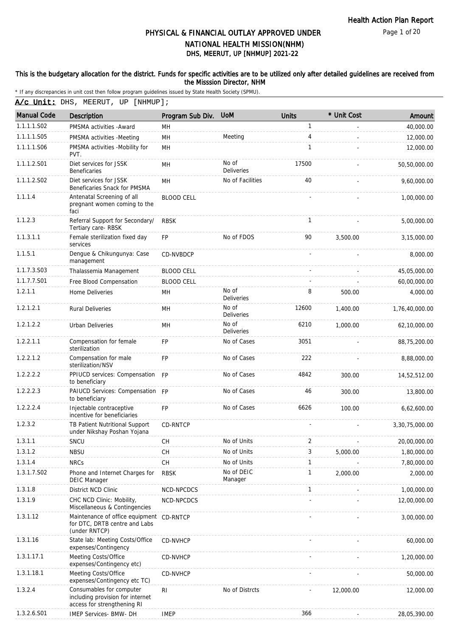Page 1 of 20

### DHS, MEERUT, UP [NHMUP] 2021-22 PHYSICAL & FINANCIAL OUTLAY APPROVED UNDER NATIONAL HEALTH MISSION(NHM)

#### This is the budgetary allocation for the district. Funds for specific activities are to be utilized only after detailed guidelines are received from the Misssion Director, NHM

\* If any discrepancies in unit cost then follow program guidelines issued by State Health Society (SPMU).

A/c Unit: DHS, MEERUT, UP [NHMUP];

| <b>Manual Code</b> | Description                                                                                 | Program Sub Div.  | <b>UoM</b>                 | <b>Units</b> | * Unit Cost | Amount         |
|--------------------|---------------------------------------------------------------------------------------------|-------------------|----------------------------|--------------|-------------|----------------|
| 1.1.1.1.S02        | PMSMA activities - Award                                                                    | MН                |                            | 1            |             | 40,000.00      |
| 1.1.1.1.S05        | PMSMA activities -Meeting                                                                   | MH                | Meeting                    | 4            |             | 12,000.00      |
| 1.1.1.1.S06        | PMSMA activities -Mobility for<br>PVT.                                                      | MH                |                            | 1            |             | 12,000.00      |
| 1.1.1.2.S01        | Diet services for JSSK<br><b>Beneficaries</b>                                               | MH                | No of<br><b>Deliveries</b> | 17500        |             | 50,50,000.00   |
| 1.1.1.2.S02        | Diet services for JSSK<br>Beneficaries Snack for PMSMA                                      | MH                | No of Facilities           | 40           |             | 9,60,000.00    |
| 1.1.1.4            | Antenatal Screening of all<br>pregnant women coming to the<br>faci                          | <b>BLOOD CELL</b> |                            |              |             | 1,00,000.00    |
| 1.1.2.3            | Referral Support for Secondary/<br>Tertiary care-RBSK                                       | <b>RBSK</b>       |                            | $\mathbf{1}$ |             | 5,00,000.00    |
| 1.1.3.1.1          | Female sterilization fixed day<br>services                                                  | <b>FP</b>         | No of FDOS                 | 90           | 3,500.00    | 3,15,000.00    |
| 1.1.5.1            | Dengue & Chikungunya: Case<br>management                                                    | <b>CD-NVBDCP</b>  |                            |              |             | 8,000.00       |
| 1.1.7.3.S03        | Thalassemia Management                                                                      | <b>BLOOD CELL</b> |                            |              |             | 45,05,000.00   |
| 1.1.7.7.S01        | Free Blood Compensation                                                                     | <b>BLOOD CELL</b> |                            |              |             | 60,00,000.00   |
| 1.2.1.1            | Home Deliveries                                                                             | MH                | No of<br>Deliveries        | 8            | 500.00      | 4,000.00       |
| 1.2.1.2.1          | <b>Rural Deliveries</b>                                                                     | MН                | No of<br>Deliveries        | 12600        | 1,400.00    | 1,76,40,000.00 |
| 1.2.1.2.2          | <b>Urban Deliveries</b>                                                                     | MН                | No of<br><b>Deliveries</b> | 6210         | 1,000.00    | 62,10,000.00   |
| 1.2.2.1.1          | Compensation for female<br>sterilization                                                    | <b>FP</b>         | No of Cases                | 3051         |             | 88,75,200.00   |
| 1.2.2.1.2          | Compensation for male<br>sterilization/NSV                                                  | <b>FP</b>         | No of Cases                | 222          |             | 8,88,000.00    |
| 1.2.2.2.2          | PPIUCD services: Compensation<br>to beneficiary                                             | <b>FP</b>         | No of Cases                | 4842         | 300.00      | 14,52,512.00   |
| 1.2.2.2.3          | PAIUCD Services: Compensation FP<br>to beneficiary                                          |                   | No of Cases                | 46           | 300.00      | 13,800.00      |
| 1.2.2.2.4          | Injectable contraceptive<br>incentive for beneficiaries                                     | <b>FP</b>         | No of Cases                | 6626         | 100.00      | 6,62,600.00    |
| 1.2.3.2            | TB Patient Nutritional Support<br>under Nikshay Poshan Yojana                               | <b>CD-RNTCP</b>   |                            |              |             | 3,30,75,000.00 |
| 1.3.1.1            | SNCU                                                                                        | CH                | No of Units                | 2            |             | 20,00,000.00   |
| 1.3.1.2            | <b>NBSU</b>                                                                                 | CН                | No of Units                | 3            | 5,000.00    | 1,80,000.00    |
| 1.3.1.4            | <b>NRCs</b>                                                                                 | <b>CH</b>         | No of Units                | 1            |             | 7,80,000.00    |
| 1.3.1.7.S02        | Phone and Internet Charges for<br><b>DEIC Manager</b>                                       | <b>RBSK</b>       | No of DEIC<br>Manager      | 1            | 2,000.00    | 2,000.00       |
| 1.3.1.8            | District NCD Clinic                                                                         | NCD-NPCDCS        |                            | $\mathbf{1}$ |             | 1,00,000.00    |
| 1.3.1.9            | CHC NCD Clinic: Mobility,<br>Miscellaneous & Contingencies                                  | NCD-NPCDCS        |                            |              |             | 12,00,000.00   |
| 1.3.1.12           | Maintenance of office equipment<br>for DTC, DRTB centre and Labs<br>(under RNTCP)           | CD-RNTCP          |                            |              |             | 3,00,000.00    |
| 1.3.1.16           | State lab: Meeting Costs/Office<br>expenses/Contingency                                     | <b>CD-NVHCP</b>   |                            |              |             | 60,000.00      |
| 1.3.1.17.1         | Meeting Costs/Office<br>expenses/Contingency etc)                                           | CD-NVHCP          |                            |              |             | 1,20,000.00    |
| 1.3.1.18.1         | Meeting Costs/Office<br>expenses/Contingency etc TC)                                        | <b>CD-NVHCP</b>   |                            |              |             | 50,000.00      |
| 1.3.2.4            | Consumables for computer<br>including provision for internet<br>access for strengthening RI | RI                | No of Distrcts             |              | 12,000.00   | 12,000.00      |
| 1.3.2.6.S01        | IMEP Services- BMW- DH                                                                      | <b>IMEP</b>       |                            | 366          |             | 28,05,390.00   |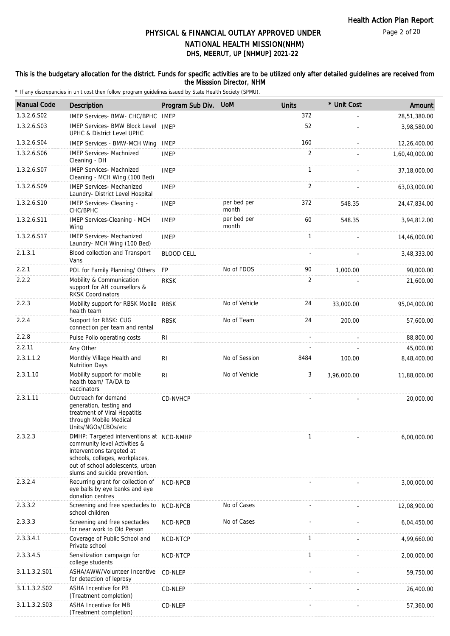Page 2 of 20

### DHS, MEERUT, UP [NHMUP] 2021-22 PHYSICAL & FINANCIAL OUTLAY APPROVED UNDER NATIONAL HEALTH MISSION(NHM)

#### This is the budgetary allocation for the district. Funds for specific activities are to be utilized only after detailed guidelines are received from the Misssion Director, NHM

| <b>Manual Code</b> | <b>Description</b>                                                                                                                                                                                           | Program Sub Div. UoM |                      | <b>Units</b>   | * Unit Cost | Amount         |
|--------------------|--------------------------------------------------------------------------------------------------------------------------------------------------------------------------------------------------------------|----------------------|----------------------|----------------|-------------|----------------|
| 1.3.2.6.S02        | IMEP Services- BMW- CHC/BPHC                                                                                                                                                                                 | <b>IMEP</b>          |                      | 372            |             | 28,51,380.00   |
| 1.3.2.6.S03        | IMEP Services- BMW Block Level IMEP<br>UPHC & District Level UPHC                                                                                                                                            |                      |                      | 52             |             | 3,98,580.00    |
| 1.3.2.6.S04        | <b>IMEP Services - BMW-MCH Wing</b>                                                                                                                                                                          | <b>IMEP</b>          |                      | 160            |             | 12,26,400.00   |
| 1.3.2.6.S06        | <b>IMEP Services- Machnized</b><br>Cleaning - DH                                                                                                                                                             | <b>IMEP</b>          |                      | 2              |             | 1,60,40,000.00 |
| 1.3.2.6.S07        | <b>IMEP Services- Machnized</b><br>Cleaning - MCH Wing (100 Bed)                                                                                                                                             | <b>IMEP</b>          |                      | $\mathbf{1}$   |             | 37,18,000.00   |
| 1.3.2.6.S09        | <b>IMEP Services- Mechanized</b><br>Laundry- District Level Hospital                                                                                                                                         | <b>IMEP</b>          |                      | $\overline{2}$ |             | 63,03,000.00   |
| 1.3.2.6.S10        | IMEP Services- Cleaning -<br>CHC/BPHC                                                                                                                                                                        | <b>IMEP</b>          | per bed per<br>month | 372            | 548.35      | 24,47,834.00   |
| 1.3.2.6.S11        | IMEP Services-Cleaning - MCH<br>Wing                                                                                                                                                                         | <b>IMEP</b>          | per bed per<br>month | 60             | 548.35      | 3,94,812.00    |
| 1.3.2.6.S17        | <b>IMEP Services- Mechanized</b><br>Laundry- MCH Wing (100 Bed)                                                                                                                                              | <b>IMEP</b>          |                      | $\mathbf{1}$   |             | 14,46,000.00   |
| 2.1.3.1            | Blood collection and Transport<br>Vans                                                                                                                                                                       | <b>BLOOD CELL</b>    |                      |                |             | 3,48,333.00    |
| 2.2.1              | POL for Family Planning/ Others                                                                                                                                                                              | <b>FP</b>            | No of FDOS           | 90             | 1,000.00    | 90,000.00      |
| 2.2.2              | Mobility & Communication<br>support for AH counsellors &<br><b>RKSK Coordinators</b>                                                                                                                         | <b>RKSK</b>          |                      | 2              |             | 21,600.00      |
| 2.2.3              | Mobility support for RBSK Mobile RBSK<br>health team                                                                                                                                                         |                      | No of Vehicle        | 24             | 33,000.00   | 95,04,000.00   |
| 2.2.4              | Support for RBSK: CUG<br>connection per team and rental                                                                                                                                                      | <b>RBSK</b>          | No of Team           | 24             | 200.00      | 57,600.00      |
| 2.2.8              | Pulse Polio operating costs                                                                                                                                                                                  | <b>RI</b>            |                      |                |             | 88,800.00      |
| 2.2.11             | Any Other                                                                                                                                                                                                    |                      |                      |                |             | 45,000.00      |
| 2.3.1.1.2          | Monthly Village Health and<br><b>Nutrition Days</b>                                                                                                                                                          | RI                   | No of Session        | 8484           | 100.00      | 8,48,400.00    |
| 2.3.1.10           | Mobility support for mobile<br>health team/ TA/DA to<br>vaccinators                                                                                                                                          | R <sub>1</sub>       | No of Vehicle        | 3              | 3,96,000.00 | 11,88,000.00   |
| 2.3.1.11           | Outreach for demand<br>generation, testing and<br>treatment of Viral Hepatitis<br>through Mobile Medical<br>Units/NGOs/CBOs/etc                                                                              | CD-NVHCP             |                      |                |             | 20,000.00      |
| 2.3.2.3            | DMHP: Targeted interventions at NCD-NMHP<br>community level Activities &<br>interventions targeted at<br>schools, colleges, workplaces,<br>out of school adolescents, urban<br>slums and suicide prevention. |                      |                      | 1              |             | 6,00,000.00    |
| 2.3.2.4            | Recurring grant for collection of<br>eye balls by eye banks and eye<br>donation centres                                                                                                                      | NCD-NPCB             |                      |                |             | 3,00,000.00    |
| 2.3.3.2            | Screening and free spectacles to<br>school children                                                                                                                                                          | NCD-NPCB             | No of Cases          |                |             | 12,08,900.00   |
| 2.3.3.3            | Screening and free spectacles<br>for near work to Old Person                                                                                                                                                 | NCD-NPCB             | No of Cases          |                |             | 6,04,450.00    |
| 2.3.3.4.1          | Coverage of Public School and<br>Private school                                                                                                                                                              | NCD-NTCP             |                      | $\mathbf{1}$   |             | 4,99,660.00    |
| 2.3.3.4.5          | Sensitization campaign for<br>college students                                                                                                                                                               | NCD-NTCP             |                      | $\mathbf{1}$   |             | 2,00,000.00    |
| 3.1.1.3.2.S01      | ASHA/AWW/Volunteer Incentive<br>for detection of leprosy                                                                                                                                                     | CD-NLEP              |                      |                |             | 59,750.00      |
| 3.1.1.3.2.S02      | ASHA Incentive for PB<br>(Treatment completion)                                                                                                                                                              | CD-NLEP              |                      |                |             | 26,400.00      |
| 3.1.1.3.2.S03      | ASHA Incentive for MB<br>(Treatment completion)                                                                                                                                                              | CD-NLEP              |                      |                |             | 57,360.00      |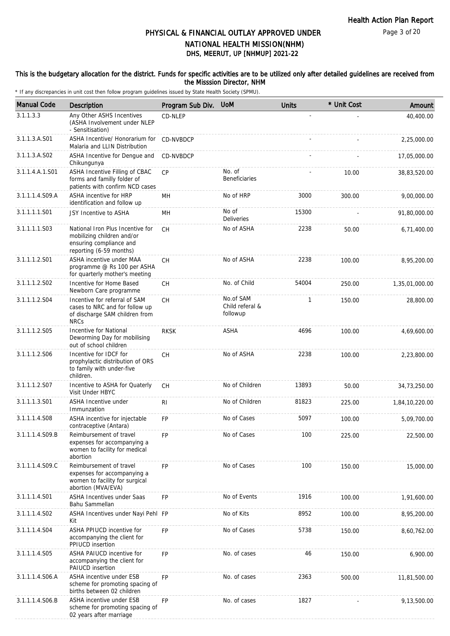Page 3 of 20

### PHYSICAL & FINANCIAL OUTLAY APPROVED UNDER NATIONAL HEALTH MISSION(NHM)

## DHS, MEERUT, UP [NHMUP] 2021-22

#### This is the budgetary allocation for the district. Funds for specific activities are to be utilized only after detailed guidelines are received from the Misssion Director, NHM

| <b>Manual Code</b> | Description                                                                                                          | Program Sub Div. | <b>UoM</b>                               | <b>Units</b> | * Unit Cost | Amount         |
|--------------------|----------------------------------------------------------------------------------------------------------------------|------------------|------------------------------------------|--------------|-------------|----------------|
| 3.1.1.3.3          | Any Other ASHS Incentives<br>(ASHA Involvement under NLEP<br>- Sensitisation)                                        | CD-NLEP          |                                          |              |             | 40,400.00      |
| 3.1.1.3.A.S01      | ASHA Incentive/ Honorarium for<br>Malaria and LLIN Distribution                                                      | CD-NVBDCP        |                                          |              |             | 2,25,000.00    |
| 3.1.1.3.A.S02      | ASHA Incentive for Dengue and<br>Chikungunya                                                                         | CD-NVBDCP        |                                          |              |             | 17,05,000.00   |
| 3.1.1.4.A.1.S01    | ASHA Incentive Filling of CBAC<br>forms and familly folder of<br>patients with confirm NCD cases                     | <b>CP</b>        | No. of<br><b>Beneficiaries</b>           |              | 10.00       | 38,83,520.00   |
| 3.1.1.1.4.S09.A    | ASHA incentive for HRP<br>identification and follow up                                                               | MН               | No of HRP                                | 3000         | 300.00      | 9,00,000.00    |
| 3.1.1.1.1.S01      | JSY Incentive to ASHA                                                                                                | MH               | No of<br><b>Deliveries</b>               | 15300        |             | 91,80,000.00   |
| 3.1.1.1.1.S03      | National Iron Plus Incentive for<br>mobilizing children and/or<br>ensuring compliance and<br>reporting (6-59 months) | <b>CH</b>        | No of ASHA                               | 2238         | 50.00       | 6,71,400.00    |
| 3.1.1.1.2.S01      | ASHA incentive under MAA<br>programme @ Rs 100 per ASHA<br>for quarterly mother's meeting                            | <b>CH</b>        | No of ASHA                               | 2238         | 100.00      | 8,95,200.00    |
| 3.1.1.1.2.S02      | Incentive for Home Based<br>Newborn Care programme                                                                   | <b>CH</b>        | No. of Child                             | 54004        | 250.00      | 1,35,01,000.00 |
| 3.1.1.1.2.S04      | Incentive for referral of SAM<br>cases to NRC and for follow up<br>of discharge SAM children from<br><b>NRCs</b>     | <b>CH</b>        | No.of SAM<br>Child referal &<br>followup | 1            | 150.00      | 28,800.00      |
| 3.1.1.1.2.S05      | Incentive for National<br>Deworming Day for mobilising<br>out of school children                                     | <b>RKSK</b>      | ASHA                                     | 4696         | 100.00      | 4,69,600.00    |
| 3.1.1.1.2.S06      | Incentive for IDCF for<br>prophylactic distribution of ORS<br>to family with under-five<br>children.                 | <b>CH</b>        | No of ASHA                               | 2238         | 100.00      | 2,23,800.00    |
| 3.1.1.1.2.S07      | Incentive to ASHA for Quaterly<br>Visit Under HBYC                                                                   | СH               | No of Children                           | 13893        | 50.00       | 34,73,250.00   |
| 3.1.1.1.3.S01      | ASHA Incentive under<br>Immunzation                                                                                  | R <sub>l</sub>   | No of Children                           | 81823        | 225.00      | 1,84,10,220.00 |
| 3.1.1.1.4.S08      | ASHA incentive for injectable<br>contraceptive (Antara)                                                              | <b>FP</b>        | No of Cases                              | 5097         | 100.00      | 5,09,700.00    |
| 3.1.1.1.4.S09.B    | Reimbursement of travel<br>expenses for accompanying a<br>women to facility for medical<br>abortion                  | FP               | No of Cases                              | 100          | 225.00      | 22,500.00      |
| 3.1.1.1.4.S09.C    | Reimbursement of travel<br>expenses for accompanying a<br>women to facility for surgical<br>abortion (MVA/EVA)       | <b>FP</b>        | No of Cases                              | 100          | 150.00      | 15,000.00      |
| 3.1.1.1.4.S01      | <b>ASHA Incentives under Saas</b><br>Bahu Sammellan                                                                  | FP               | No of Events                             | 1916         | 100.00      | 1,91,600.00    |
| 3.1.1.1.4.S02      | ASHA Incentives under Nayi Pehl FP<br>Kit                                                                            |                  | No of Kits                               | 8952         | 100.00      | 8,95,200.00    |
| 3.1.1.1.4.S04      | ASHA PPIUCD incentive for<br>accompanying the client for<br>PPIUCD insertion                                         | <b>FP</b>        | No of Cases                              | 5738         | 150.00      | 8,60,762.00    |
| 3.1.1.1.4.S05      | ASHA PAIUCD incentive for<br>accompanying the client for<br>PAIUCD insertion                                         | FP               | No. of cases                             | 46           | 150.00      | 6,900.00       |
| 3.1.1.1.4.S06.A    | ASHA incentive under ESB<br>scheme for promoting spacing of<br>births between 02 children                            | FP               | No. of cases                             | 2363         | 500.00      | 11,81,500.00   |
| 3.1.1.1.4.S06.B    | ASHA incentive under ESB<br>scheme for promoting spacing of<br>02 years after marriage                               | FP               | No. of cases                             | 1827         |             | 9,13,500.00    |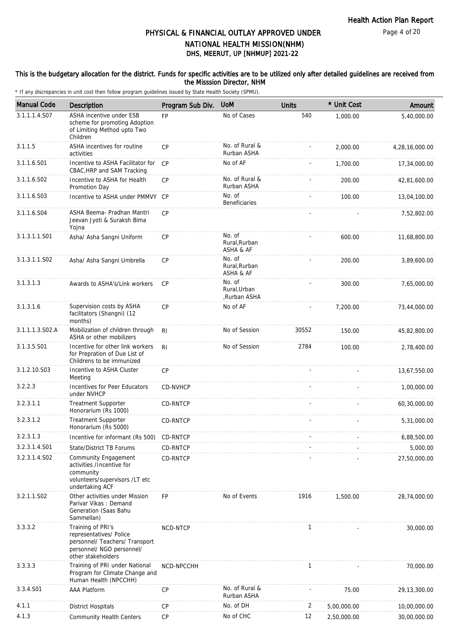This is the budgetary allocation for the district. Funds for specific activities are to be utilized only after detailed guidelines are received from

the Misssion Director, NHM

| <b>Manual Code</b>        | <b>Description</b>                                                                                                                | Program Sub Div. | <b>UoM</b>                             | <b>Units</b> | * Unit Cost | Amount         |
|---------------------------|-----------------------------------------------------------------------------------------------------------------------------------|------------------|----------------------------------------|--------------|-------------|----------------|
| 3.1.1.1.4.S07             | ASHA incentive under ESB<br>scheme for promoting Adoption<br>of Limiting Method upto Two<br>Children                              | <b>FP</b>        | No of Cases                            | 540          | 1,000.00    | 5.40.000.00    |
| 3.1.1.5                   | ASHA incentives for routine<br>activities                                                                                         | <b>CP</b>        | No. of Rural &<br>Rurban ASHA          |              | 2,000.00    | 4,28,16,000.00 |
| 3.1.1.6.S01               | Incentive to ASHA Facilitator for<br>CBAC, HRP and SAM Tracking                                                                   | CP               | No of AF                               |              | 1,700.00    | 17,34,000.00   |
| 3.1.1.6.S02               | Incentive to ASHA for Health<br>Promotion Day                                                                                     | CP               | No. of Rural &<br>Rurban ASHA          |              | 200.00      | 42,81,600.00   |
| 3.1.1.6.S03               | Incentive to ASHA under PMMVY CP                                                                                                  |                  | No. of<br><b>Beneficiaries</b>         |              | 100.00      | 13,04,100.00   |
| 3.1.1.6.S04               | ASHA Beema- Pradhan Mantri<br>Jeevan Jyoti & Suraksh Bima<br>Yojna                                                                | <b>CP</b>        |                                        |              |             | 7,52,802.00    |
| 3.1.3.1.1.S01             | Asha/ Asha Sangni Uniform                                                                                                         | <b>CP</b>        | No. of<br>Rural, Rurban<br>ASHA & AF   |              | 600.00      | 11,68,800.00   |
| 3.1.3.1.1.S02             | Asha/ Asha Sangni Umbrella                                                                                                        | <b>CP</b>        | No. of<br>Rural, Rurban<br>ASHA & AF   |              | 200.00      | 3,89,600.00    |
| 3.1.3.1.3                 | Awards to ASHA's/Link workers                                                                                                     | <b>CP</b>        | No. of<br>Rural, Urban<br>,Rurban ASHA |              | 300.00      | 7,65,000.00    |
| 3.1.3.1.6                 | Supervision costs by ASHA<br>facilitators (Shangni) (12<br>months)                                                                | CP               | No of AF                               |              | 7,200.00    | 73,44,000.00   |
| 3.1.1.1.3.S02.A           | Mobilization of children through<br>ASHA or other mobilizers                                                                      | R <sub>l</sub>   | No of Session                          | 30552        | 150.00      | 45,82,800.00   |
| 3.1.3.5.S01               | Incentive for other link workers<br>for Prepration of Due List of<br>Childrens to be immunized                                    | R <sub>l</sub>   | No of Session                          | 2784         | 100.00      | 2,78,400.00    |
| 3.1.2.10.S03              | Incentive to ASHA Cluster<br>Meeting                                                                                              | CP               |                                        |              |             | 13,67,550.00   |
| 3.2.2.3                   | Incentives for Peer Educators<br>under NVHCP                                                                                      | CD-NVHCP         |                                        |              |             | 1,00,000.00    |
| 3.2.3.1.1                 | Treatment Supporter<br>Honorarium (Rs 1000)                                                                                       | CD-RNTCP         |                                        |              |             | 60,30,000.00   |
| 3.2.3.1.2                 | <b>Treatment Supporter</b><br>Honorarium (Rs 5000)                                                                                | CD-RNTCP         |                                        |              |             | 5,31,000.00    |
| 3.2.3.1.3                 | Incentive for informant (Rs 500)                                                                                                  | CD-RNTCP         |                                        |              |             | 6,88,500.00    |
| 3.2.3.1.4.S01             | State/District TB Forums                                                                                                          | <b>CD-RNTCP</b>  |                                        |              |             | 5,000.00       |
| 3.2.3.1.4.SO <sub>2</sub> | Community Engagement<br>activities /Incentive for<br>community<br>volunteers/supervisors /LT etc<br>undertaking ACF               | CD-RNTCP         |                                        |              |             | 27,50,000.00   |
| 3.2.1.1.S02               | Other activities under Mission<br>Parivar Vikas: Demand<br>Generation (Saas Bahu<br>Sammellan)                                    | <b>FP</b>        | No of Events                           | 1916         | 1,500.00    | 28,74,000.00   |
| 3.3.3.2                   | Training of PRI's<br>representatives/ Police<br>personnel/ Teachers/ Transport<br>personnel/ NGO personnel/<br>other stakeholders | NCD-NTCP         |                                        | $\mathbf{1}$ |             | 30,000.00      |
| 3.3.3.3                   | Training of PRI under National<br>Program for Climate Change and<br>Human Health (NPCCHH)                                         | NCD-NPCCHH       |                                        | $\mathbf{1}$ |             | 70,000.00      |
| 3.3.4.S01                 | <b>AAA Platform</b>                                                                                                               | <b>CP</b>        | No. of Rural &<br>Rurban ASHA          |              | 75.00       | 29, 13, 300.00 |
| 4.1.1                     | <b>District Hospitals</b>                                                                                                         | <b>CP</b>        | No. of DH                              | 2            | 5,00,000.00 | 10,00,000.00   |
| 4.1.3                     | <b>Community Health Centers</b>                                                                                                   | <b>CP</b>        | No of CHC                              | 12           | 2,50,000.00 | 30,00,000.00   |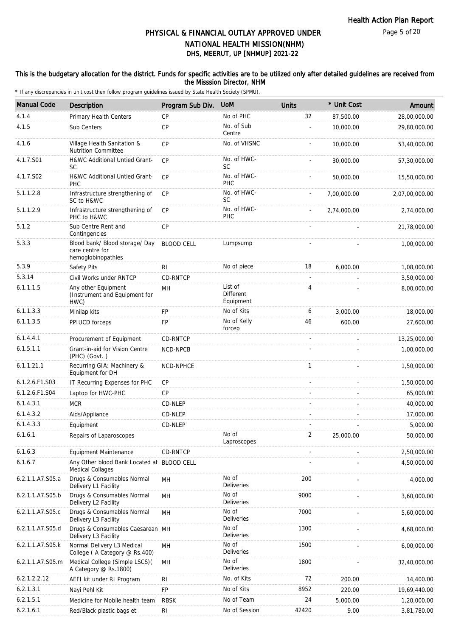#### This is the budgetary allocation for the district. Funds for specific activities are to be utilized only after detailed guidelines are received from the Misssion Director, NHM

| <b>Manual Code</b> | <b>Description</b>                                                      | Program Sub Div.  | <b>UoM</b>                        | <b>Units</b> | * Unit Cost | Amount         |
|--------------------|-------------------------------------------------------------------------|-------------------|-----------------------------------|--------------|-------------|----------------|
| 4.1.4              | Primary Health Centers                                                  | <b>CP</b>         | No of PHC                         | 32           | 87,500.00   | 28,00,000.00   |
| 4.1.5              | Sub Centers                                                             | <b>CP</b>         | No. of Sub<br>Centre              |              | 10,000.00   | 29,80,000.00   |
| 4.1.6              | Village Health Sanitation &<br><b>Nutrition Committee</b>               | <b>CP</b>         | No. of VHSNC                      |              | 10,000.00   | 53,40,000.00   |
| 4.1.7.S01          | H&WC Additional Untied Grant-<br>SC                                     | CP                | No. of HWC-<br>SC                 |              | 30,000.00   | 57,30,000.00   |
| 4.1.7.S02          | H&WC Additional Untied Grant-<br>PHC                                    | CP                | No. of HWC-<br>PHC                |              | 50,000.00   | 15,50,000.00   |
| 5.1.1.2.8          | Infrastructure strengthening of<br>SC to H&WC                           | <b>CP</b>         | No. of HWC-<br><b>SC</b>          |              | 7,00,000.00 | 2,07,00,000.00 |
| 5.1.1.2.9          | Infrastructure strengthening of<br>PHC to H&WC                          | <b>CP</b>         | No. of HWC-<br>PHC                |              | 2,74,000.00 | 2,74,000.00    |
| 5.1.2              | Sub Centre Rent and<br>Contingencies                                    | CP                |                                   |              |             | 21,78,000.00   |
| 5.3.3              | Blood bank/ Blood storage/ Day<br>care centre for<br>hemoglobinopathies | <b>BLOOD CELL</b> | Lumpsump                          |              |             | 1,00,000.00    |
| 5.3.9              | Safety Pits                                                             | RI                | No of piece                       | 18           | 6,000.00    | 1,08,000.00    |
| 5.3.14             | Civil Works under RNTCP                                                 | <b>CD-RNTCP</b>   |                                   | ÷,           |             | 3,50,000.00    |
| 6.1.1.1.5          | Any other Equipment<br>(Instrument and Equipment for<br>HWC)            | MH                | List of<br>Different<br>Equipment | 4            |             | 8,00,000.00    |
| 6.1.1.3.3          | Minilap kits                                                            | FP                | No of Kits                        | 6            | 3,000.00    | 18,000.00      |
| 6.1.1.3.5          | PPIUCD forceps                                                          | FP                | No of Kelly<br>forcep             | 46           | 600.00      | 27,600.00      |
| 6.1.4.4.1          | Procurement of Equipment                                                | CD-RNTCP          |                                   |              |             | 13,25,000.00   |
| 6.1.5.1.1          | Grant-in-aid for Vision Centre<br>(PHC) (Govt.)                         | NCD-NPCB          |                                   |              |             | 1,00,000.00    |
| 6.1.1.21.1         | Recurring GIA: Machinery &<br>Equipment for DH                          | NCD-NPHCE         |                                   | $\mathbf{1}$ |             | 1,50,000.00    |
| 6.1.2.6.F1.S03     | IT Recurring Expenses for PHC                                           | <b>CP</b>         |                                   |              |             | 1,50,000.00    |
| 6.1.2.6.F1.S04     | Laptop for HWC-PHC                                                      | <b>CP</b>         |                                   |              |             | 65,000.00      |
| 6.1.4.3.1          | <b>MCR</b>                                                              | CD-NLEP           |                                   |              |             | 40,000.00      |
| 6.1.4.3.2          | Aids/Appliance                                                          | CD-NLEP           |                                   |              |             | 17,000.00      |
| 6.1.4.3.3          | Equipment                                                               | CD-NLEP           |                                   |              |             | 5,000.00       |
| 6.1.6.1            | Repairs of Laparoscopes                                                 |                   | No of<br>Laproscopes              | 2            | 25,000.00   | 50,000.00      |
| 6.1.6.3            | Equipment Maintenance                                                   | CD-RNTCP          |                                   |              |             | 2,50,000.00    |
| 6.1.6.7            | Any Other blood Bank Located at BLOOD CELL<br><b>Medical Collages</b>   |                   |                                   |              |             | 4,50,000.00    |
| 6.2.1.1.A7.S05.a   | Drugs & Consumables Normal<br>Delivery L1 Facility                      | MH                | No of<br>Deliveries               | 200          |             | 4,000.00       |
| 6.2.1.1.A7.S05.b   | Drugs & Consumables Normal<br>Delivery L2 Facility                      | MH                | No of<br>Deliveries               | 9000         |             | 3,60,000.00    |
| 6.2.1.1.A7.S05.c   | Drugs & Consumables Normal<br>Delivery L3 Facility                      | MH                | No of<br><b>Deliveries</b>        | 7000         |             | 5,60,000.00    |
| 6.2.1.1.A7.S05.d   | Drugs & Consumables Caesarean MH<br>Delivery L3 Facility                |                   | No of<br>Deliveries               | 1300         |             | 4,68,000.00    |
| 6.2.1.1.A7.S05.k   | Normal Delivery L3 Medical<br>College (A Category @ Rs.400)             | MH                | No of<br>Deliveries               | 1500         |             | 6,00,000.00    |
| 6.2.1.1.A7.S05.m   | Medical College (Simple LSCS)(<br>A Category @ Rs.1800)                 | MH                | No of<br><b>Deliveries</b>        | 1800         |             | 32,40,000.00   |
| 6.2.1.2.2.12       | AEFI kit under RI Program                                               | <b>RI</b>         | No. of Kits                       | 72           | 200.00      | 14,400.00      |
| 6.2.1.3.1          | Nayi Pehl Kit                                                           | FP                | No of Kits                        | 8952         | 220.00      | 19,69,440.00   |
| 6.2.1.5.1          | Medicine for Mobile health team                                         | <b>RBSK</b>       | No of Team                        | 24           | 5,000.00    | 1,20,000.00    |
| 6.2.1.6.1          | Red/Black plastic bags et                                               | RI                | No of Session                     | 42420        | 9.00        | 3,81,780.00    |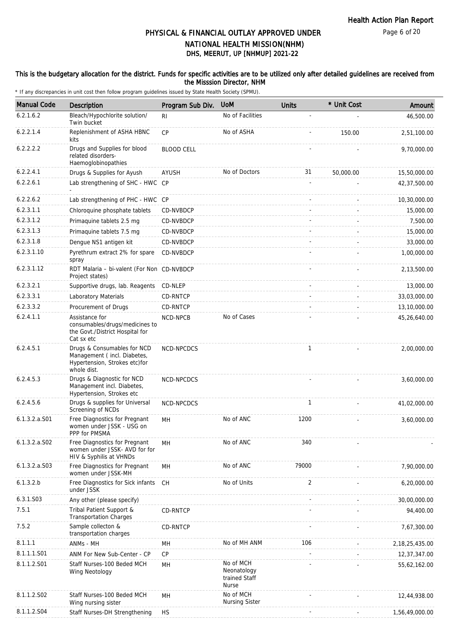Page 6 of 20

### PHYSICAL & FINANCIAL OUTLAY APPROVED UNDER NATIONAL HEALTH MISSION(NHM)

### DHS, MEERUT, UP [NHMUP] 2021-22

#### This is the budgetary allocation for the district. Funds for specific activities are to be utilized only after detailed guidelines are received from the Misssion Director, NHM

| <b>Manual Code</b> | <b>Description</b>                                                                                          | Program Sub Div.  | <b>UoM</b>                                                | <b>Units</b> | * Unit Cost | Amount            |
|--------------------|-------------------------------------------------------------------------------------------------------------|-------------------|-----------------------------------------------------------|--------------|-------------|-------------------|
| 6.2.1.6.2          | Bleach/Hypochlorite solution/<br>Twin bucket                                                                | RI.               | No of Facilities                                          |              |             | 46,500.00         |
| 6.2.2.1.4          | Replenishment of ASHA HBNC<br>kits                                                                          | CP                | No of ASHA                                                |              | 150.00      | 2,51,100.00       |
| 6.2.2.2.2          | Drugs and Supplies for blood<br>related disorders-<br>Haemoglobinopathies                                   | <b>BLOOD CELL</b> |                                                           |              |             | 9,70,000.00       |
| 6.2.2.4.1          | Drugs & Supplies for Ayush                                                                                  | <b>AYUSH</b>      | No of Doctors                                             | 31           | 50,000.00   | 15,50,000.00      |
| 6.2.2.6.1          | Lab strengthening of SHC - HWC CP                                                                           |                   |                                                           |              |             | 42,37,500.00      |
| 6.2.2.6.2          | Lab strengthening of PHC - HWC CP                                                                           |                   |                                                           |              |             | 10,30,000.00      |
| 6.2.3.1.1          | Chloroquine phosphate tablets                                                                               | CD-NVBDCP         |                                                           |              |             | 15,000.00         |
| 6.2.3.1.2          | Primaquine tablets 2.5 mg                                                                                   | CD-NVBDCP         |                                                           |              |             | 7,500.00          |
| 6.2.3.1.3          | Primaquine tablets 7.5 mg                                                                                   | CD-NVBDCP         |                                                           |              |             | 15,000.00         |
| 6.2.3.1.8          | Dengue NS1 antigen kit                                                                                      | CD-NVBDCP         |                                                           |              |             | 33,000.00         |
| 6.2.3.1.10         | Pyrethrum extract 2% for spare<br>spray                                                                     | CD-NVBDCP         |                                                           |              |             | 1,00,000.00       |
| 6.2.3.1.12         | RDT Malaria - bi-valent (For Non CD-NVBDCP<br>Project states)                                               |                   |                                                           |              |             | 2,13,500.00       |
| 6.2.3.2.1          | Supportive drugs, lab. Reagents CD-NLEP                                                                     |                   |                                                           |              |             | 13,000.00         |
| 6.2.3.3.1          | Laboratory Materials                                                                                        | CD-RNTCP          |                                                           |              |             | 33,03,000.00      |
| 6.2.3.3.2          | Procurement of Drugs                                                                                        | CD-RNTCP          |                                                           |              |             | 13,10,000.00      |
| 6.2.4.1.1          | Assistance for<br>consumables/drugs/medicines to<br>the Govt./District Hospital for<br>Cat sx etc           | NCD-NPCB          | No of Cases                                               |              |             | 45,26,640.00      |
| 6.2.4.5.1          | Drugs & Consumables for NCD<br>Management (incl. Diabetes,<br>Hypertension, Strokes etc) for<br>whole dist. | NCD-NPCDCS        |                                                           | 1            |             | 2,00,000.00       |
| 6.2.4.5.3          | Drugs & Diagnostic for NCD<br>Management incl. Diabetes,<br>Hypertension, Strokes etc                       | NCD-NPCDCS        |                                                           |              |             | 3,60,000.00       |
| 6.2.4.5.6          | Drugs & supplies for Universal<br>Screening of NCDs                                                         | NCD-NPCDCS        |                                                           | 1            |             | 41,02,000.00      |
| 6.1.3.2.a.S01      | Free Diagnostics for Pregnant<br>women under JSSK - USG on<br>PPP for PMSMA                                 | MH                | No of ANC                                                 | 1200         |             | 3,60,000.00       |
| $6.1.3.2.a.$ SO2   | Free Diagnostics for Pregnant<br>women under JSSK- AVD for for<br>HIV & Syphilis at VHNDs                   | MН                | No of ANC                                                 | 340          |             |                   |
| 6.1.3.2.a.S03      | Free Diagnostics for Pregnant<br>women under JSSK-MH                                                        | MH                | No of ANC                                                 | 79000        |             | 7,90,000.00       |
| 6.1.3.2.b          | Free Diagnostics for Sick infants<br>under JSSK                                                             | CH.               | No of Units                                               | 2            |             | 6,20,000.00       |
| 6.3.1.S03          | Any other (please specify)                                                                                  |                   |                                                           |              |             | 30,00,000.00      |
| 7.5.1              | Tribal Patient Support &<br><b>Transportation Charges</b>                                                   | CD-RNTCP          |                                                           |              |             | 94,400.00         |
| 7.5.2              | Sample collecton &<br>transportation charges                                                                | CD-RNTCP          |                                                           |              |             | 7,67,300.00       |
| 8.1.1.1            | ANMs - MH                                                                                                   | MН                | No of MH ANM                                              | 106          |             | 2, 18, 25, 435.00 |
| 8.1.1.1.S01        | ANM For New Sub-Center - CP                                                                                 | <b>CP</b>         |                                                           |              |             | 12,37,347.00      |
| 8.1.1.2.S01        | Staff Nurses-100 Beded MCH<br>Wing Neotology                                                                | MН                | No of MCH<br>Neonatology<br>trained Staff<br><b>Nurse</b> |              |             | 55,62,162.00      |
| 8.1.1.2.S02        | Staff Nurses-100 Beded MCH<br>Wing nursing sister                                                           | MH                | No of MCH<br><b>Nursing Sister</b>                        |              |             | 12,44,938.00      |
| 8.1.1.2.S04        | Staff Nurses-DH Strengthening                                                                               | <b>HS</b>         |                                                           |              |             | 1,56,49,000.00    |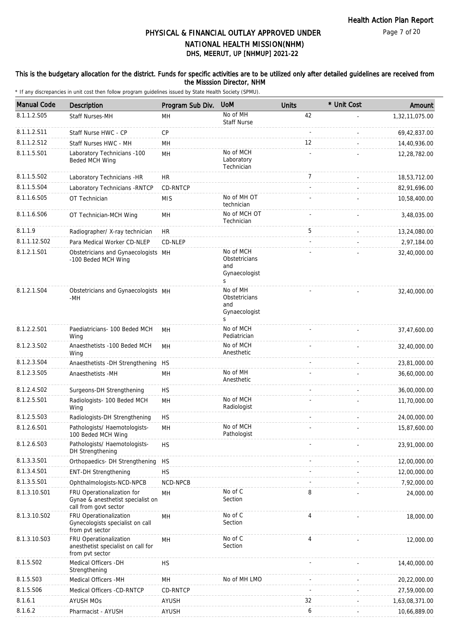#### This is the budgetary allocation for the district. Funds for specific activities are to be utilized only after detailed guidelines are received from the Misssion Director, NHM

| <b>Manual Code</b> | Description                                                                              | Program Sub Div. | <b>UoM</b>                                              | <b>Units</b>   | * Unit Cost | Amount         |
|--------------------|------------------------------------------------------------------------------------------|------------------|---------------------------------------------------------|----------------|-------------|----------------|
| 8.1.1.2.S05        | <b>Staff Nurses-MH</b>                                                                   | MН               | No of MH<br><b>Staff Nurse</b>                          | 42             |             | 1,32,11,075.00 |
| 8.1.1.2.S11        | Staff Nurse HWC - CP                                                                     | <b>CP</b>        |                                                         | $\mathbf{r}$   |             | 69,42,837.00   |
| 8.1.1.2.S12        | Staff Nurses HWC - MH                                                                    | MН               |                                                         | 12             |             | 14,40,936.00   |
| 8.1.1.5.S01        | Laboratory Technicians -100<br>Beded MCH Wing                                            | MH               | No of MCH<br>Laboratory<br>Technician                   |                |             | 12,28,782.00   |
| 8.1.1.5.S02        | Laboratory Technicians -HR                                                               | <b>HR</b>        |                                                         | $\overline{7}$ |             | 18,53,712.00   |
| 8.1.1.5.S04        | Laboratory Technicians - RNTCP                                                           | CD-RNTCP         |                                                         |                |             | 82,91,696.00   |
| 8.1.1.6.S05        | OT Technician                                                                            | <b>MIS</b>       | No of MH OT<br>technician                               |                |             | 10,58,400.00   |
| 8.1.1.6.S06        | OT Technician-MCH Wing                                                                   | MН               | No of MCH OT<br>Technician                              |                |             | 3,48,035.00    |
| 8.1.1.9            | Radiographer/ X-ray technician                                                           | HR               |                                                         | 5              |             | 13,24,080.00   |
| 8.1.1.12.S02       | Para Medical Worker CD-NLEP                                                              | CD-NLEP          |                                                         |                |             | 2,97,184.00    |
| 8.1.2.1.S01        | Obstetricians and Gynaecologists MH<br>-100 Beded MCH Wing                               |                  | No of MCH<br>Obstetricians<br>and<br>Gynaecologist<br>S |                |             | 32,40,000.00   |
| 8.1.2.1.S04        | Obstetricians and Gynaecologists MH<br>-MH                                               |                  | No of MH<br>Obstetricians<br>and<br>Gynaecologist<br>S  |                |             | 32,40,000.00   |
| 8.1.2.2.S01        | Paediatricians- 100 Beded MCH<br>Wing                                                    | MН               | No of MCH<br>Pediatrician                               |                |             | 37,47,600.00   |
| 8.1.2.3.S02        | Anaesthetists -100 Beded MCH<br>Wing                                                     | MH               | No of MCH<br>Anesthetic                                 |                |             | 32,40,000.00   |
| 8.1.2.3.S04        | Anaesthetists -DH Strengthening                                                          | HS               |                                                         |                |             | 23,81,000.00   |
| 8.1.2.3.S05        | Anaesthetists -MH                                                                        | MH               | No of MH<br>Anesthetic                                  |                |             | 36,60,000.00   |
| 8.1.2.4.S02        | Surgeons-DH Strengthening                                                                | <b>HS</b>        |                                                         |                |             | 36,00,000.00   |
| 8.1.2.5.S01        | Radiologists- 100 Beded MCH<br>Wing                                                      | MH               | No of MCH<br>Radiologist                                |                |             | 11,70,000.00   |
| 8.1.2.5.S03        | Radiologists-DH Strengthening                                                            | <b>HS</b>        |                                                         |                |             | 24,00,000.00   |
| 8.1.2.6.S01        | Pathologists/ Haemotologists-<br>100 Beded MCH Wing                                      | MH               | No of MCH<br>Pathologist                                |                |             | 15,87,600.00   |
| 8.1.2.6.S03        | Pathologists/ Haemotologists-<br>DH Strengthening                                        | <b>HS</b>        |                                                         |                |             | 23,91,000.00   |
| 8.1.3.3.S01        | Orthopaedics- DH Strengthening                                                           | <b>HS</b>        |                                                         |                |             | 12,00,000.00   |
| 8.1.3.4.S01        | <b>ENT-DH Strengthening</b>                                                              | <b>HS</b>        |                                                         |                |             | 12,00,000.00   |
| 8.1.3.5.S01        | Ophthalmologists-NCD-NPCB                                                                | NCD-NPCB         |                                                         |                |             | 7,92,000.00    |
| 8.1.3.10.S01       | FRU Operationalization for<br>Gynae & anesthetist specialist on<br>call from govt sector | MН               | No of C<br>Section                                      | 8              |             | 24,000.00      |
| 8.1.3.10.S02       | FRU Operationalization<br>Gynecologists specialist on call<br>from pvt sector            | MH               | No of C<br>Section                                      | 4              |             | 18,000.00      |
| 8.1.3.10.S03       | FRU Operationalization<br>anesthetist specialist on call for<br>from pvt sector          | MН               | No of C<br>Section                                      | 4              |             | 12,000.00      |
| 8.1.5.S02          | Medical Officers - DH<br>Strengthening                                                   | <b>HS</b>        |                                                         |                |             | 14,40,000.00   |
| 8.1.5.S03          | Medical Officers -MH                                                                     | MH               | No of MH LMO                                            |                |             | 20,22,000.00   |
| 8.1.5.S06          | Medical Officers -CD-RNTCP                                                               | CD-RNTCP         |                                                         |                |             | 27,59,000.00   |
| 8.1.6.1            | <b>AYUSH MOs</b>                                                                         | <b>AYUSH</b>     |                                                         | 32             |             | 1,63,08,371.00 |
| 8.1.6.2            | Pharmacist - AYUSH                                                                       | <b>AYUSH</b>     |                                                         | 6              |             | 10,66,889.00   |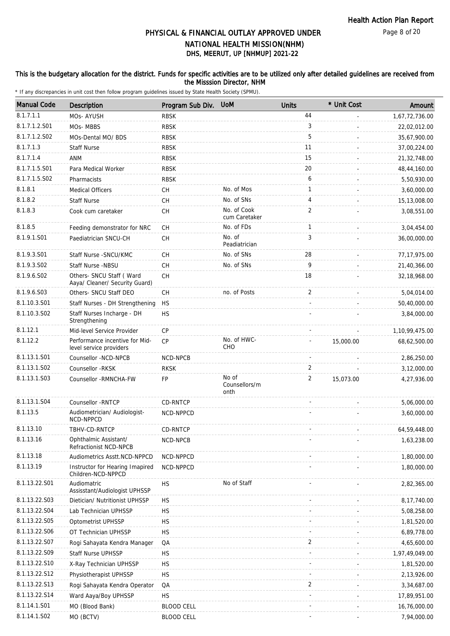#### This is the budgetary allocation for the district. Funds for specific activities are to be utilized only after detailed guidelines are received from the Misssion Director, NHM

| <b>Manual Code</b> | Description                                                 | Program Sub Div.  | <b>UoM</b>                     | <b>Units</b>   | * Unit Cost | Amount         |
|--------------------|-------------------------------------------------------------|-------------------|--------------------------------|----------------|-------------|----------------|
| 8.1.7.1.1          | MOs- AYUSH                                                  | <b>RBSK</b>       |                                | 44             |             | 1,67,72,736.00 |
| 8.1.7.1.2.S01      | MOs-MBBS                                                    | <b>RBSK</b>       |                                | 3              |             | 22,02,012.00   |
| 8.1.7.1.2.S02      | MOs-Dental MO/ BDS                                          | <b>RBSK</b>       |                                | 5              |             | 35,67,900.00   |
| 8.1.7.1.3          | <b>Staff Nurse</b>                                          | <b>RBSK</b>       |                                | 11             |             | 37,00,224.00   |
| 8.1.7.1.4          | ANM                                                         | <b>RBSK</b>       |                                | 15             |             | 21,32,748.00   |
| 8.1.7.1.5.S01      | Para Medical Worker                                         | <b>RBSK</b>       |                                | 20             |             | 48,44,160.00   |
| 8.1.7.1.5.S02      | Pharmacists                                                 | <b>RBSK</b>       |                                | 6              |             | 5,50,930.00    |
| 8.1.8.1            | <b>Medical Officers</b>                                     | CН                | No. of Mos                     | 1              |             | 3,60,000.00    |
| 8.1.8.2            | <b>Staff Nurse</b>                                          | <b>CH</b>         | No. of SNs                     | 4              |             | 15,13,008.00   |
| 8.1.8.3            | Cook cum caretaker                                          | <b>CH</b>         | No. of Cook<br>cum Caretaker   | $\overline{2}$ |             | 3,08,551.00    |
| 8.1.8.5            | Feeding demonstrator for NRC                                | <b>CH</b>         | No. of FDs                     | 1              |             | 3,04,454.00    |
| 8.1.9.1.S01        | Paediatrician SNCU-CH                                       | <b>CH</b>         | No. of<br>Peadiatrician        | 3              |             | 36,00,000.00   |
| 8.1.9.3.S01        | Staff Nurse - SNCU/KMC                                      | <b>CH</b>         | No. of SNs                     | 28             |             | 77, 17, 975.00 |
| 8.1.9.3.S02        | Staff Nurse -NBSU                                           | <b>CH</b>         | No. of SNs                     | 9              |             | 21,40,366.00   |
| 8.1.9.6.SO2        | Others- SNCU Staff ( Ward<br>Aaya/ Cleaner/ Security Guard) | СH                |                                | 18             |             | 32,18,968.00   |
| 8.1.9.6.S03        | Others- SNCU Staff DEO                                      | <b>CH</b>         | no. of Posts                   | 2              |             | 5,04,014.00    |
| 8.1.10.3.S01       | Staff Nurses - DH Strengthening                             | HS                |                                |                |             | 50,40,000.00   |
| 8.1.10.3.S02       | Staff Nurses Incharge - DH<br>Strengthening                 | HS                |                                |                |             | 3,84,000.00    |
| 8.1.12.1           | Mid-level Service Provider                                  | СP                |                                |                |             | 1,10,99,475.00 |
| 8.1.12.2           | Performance incentive for Mid-<br>level service providers   | <b>CP</b>         | No. of HWC-<br><b>CHO</b>      |                | 15,000.00   | 68,62,500.00   |
| 8.1.13.1.S01       | Counsellor -NCD-NPCB                                        | NCD-NPCB          |                                |                |             | 2,86,250.00    |
| 8.1.13.1.S02       | Counsellor - RKSK                                           | <b>RKSK</b>       |                                | 2              |             | 3,12,000.00    |
| 8.1.13.1.S03       | Counsellor - RMNCHA-FW                                      | <b>FP</b>         | No of<br>Counsellors/m<br>onth | 2              | 15,073.00   | 4,27,936.00    |
| 8.1.13.1.S04       | Counsellor - RNTCP                                          | CD-RNTCP          |                                |                |             | 5,06,000.00    |
| 8.1.13.5           | Audiometrician/ Audiologist-<br>NCD-NPPCD                   | NCD-NPPCD         |                                |                |             | 3,60,000.00    |
| 8.1.13.10          | TBHV-CD-RNTCP                                               | CD-RNTCP          |                                |                |             | 64,59,448.00   |
| 8.1.13.16          | Ophthalmic Assistant/<br>Refractionist NCD-NPCB             | NCD-NPCB          |                                |                |             | 1,63,238.00    |
| 8.1.13.18          | Audiometrics Asstt.NCD-NPPCD                                | NCD-NPPCD         |                                |                |             | 1,80,000.00    |
| 8.1.13.19          | Instructor for Hearing Imapired<br>Children-NCD-NPPCD       | NCD-NPPCD         |                                |                |             | 1,80,000.00    |
| 8.1.13.22.S01      | Audiomatric<br>Assisstant/Audiologist UPHSSP                | <b>HS</b>         | No of Staff                    |                |             | 2,82,365.00    |
| 8.1.13.22.S03      | Dietician/ Nutritionist UPHSSP                              | <b>HS</b>         |                                |                |             | 8,17,740.00    |
| 8.1.13.22.S04      | Lab Technician UPHSSP                                       | <b>HS</b>         |                                |                |             | 5,08,258.00    |
| 8.1.13.22.S05      | Optometrist UPHSSP                                          | <b>HS</b>         |                                |                |             | 1,81,520.00    |
| 8.1.13.22.S06      | OT Technician UPHSSP                                        | HS                |                                |                |             | 6,89,778.00    |
| 8.1.13.22.S07      | Rogi Sahayata Kendra Manager                                | QA                |                                | 2              |             | 4,65,600.00    |
| 8.1.13.22.S09      | Staff Nurse UPHSSP                                          | HS                |                                |                |             | 1,97,49,049.00 |
| 8.1.13.22.S10      | X-Ray Technician UPHSSP                                     | HS                |                                |                |             | 1,81,520.00    |
| 8.1.13.22.S12      | Physiotherapist UPHSSP                                      | <b>HS</b>         |                                |                |             | 2,13,926.00    |
| 8.1.13.22.S13      | Rogi Sahayata Kendra Operator                               | QA                |                                | 2              |             | 3,34,687.00    |
| 8.1.13.22.S14      | Ward Aaya/Boy UPHSSP                                        | <b>HS</b>         |                                |                |             | 17,89,951.00   |
| 8.1.14.1.S01       | MO (Blood Bank)                                             | <b>BLOOD CELL</b> |                                |                |             | 16,76,000.00   |
| 8.1.14.1.S02       | MO (BCTV)                                                   | <b>BLOOD CELL</b> |                                |                |             | 7,94,000.00    |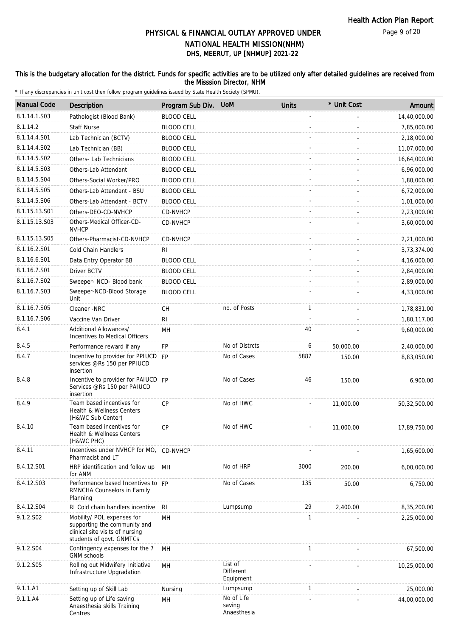#### This is the budgetary allocation for the district. Funds for specific activities are to be utilized only after detailed guidelines are received from the Misssion Director, NHM

| <b>Manual Code</b> | Description                                                                                                               | Program Sub Div.  | <b>UoM</b>                          | <b>Units</b> | * Unit Cost | Amount       |
|--------------------|---------------------------------------------------------------------------------------------------------------------------|-------------------|-------------------------------------|--------------|-------------|--------------|
| 8.1.14.1.S03       | Pathologist (Blood Bank)                                                                                                  | <b>BLOOD CELL</b> |                                     |              |             | 14,40,000.00 |
| 8.1.14.2           | <b>Staff Nurse</b>                                                                                                        | <b>BLOOD CELL</b> |                                     |              |             | 7,85,000.00  |
| 8.1.14.4.S01       | Lab Technician (BCTV)                                                                                                     | <b>BLOOD CELL</b> |                                     |              |             | 2,18,000.00  |
| 8.1.14.4.S02       | Lab Technician (BB)                                                                                                       | <b>BLOOD CELL</b> |                                     |              |             | 11,07,000.00 |
| 8.1.14.5.S02       | Others- Lab Technicians                                                                                                   | <b>BLOOD CELL</b> |                                     |              |             | 16,64,000.00 |
| 8.1.14.5.S03       | Others-Lab Attendant                                                                                                      | <b>BLOOD CELL</b> |                                     |              |             | 6,96,000.00  |
| 8.1.14.5.S04       | Others-Social Worker/PRO                                                                                                  | <b>BLOOD CELL</b> |                                     |              |             | 1,80,000.00  |
| 8.1.14.5.S05       | Others-Lab Attendant - BSU                                                                                                | <b>BLOOD CELL</b> |                                     |              |             | 6,72,000.00  |
| 8.1.14.5.S06       | Others-Lab Attendant - BCTV                                                                                               | <b>BLOOD CELL</b> |                                     |              |             | 1,01,000.00  |
| 8.1.15.13.S01      | Others-DEO-CD-NVHCP                                                                                                       | CD-NVHCP          |                                     |              |             | 2,23,000.00  |
| 8.1.15.13.S03      | Others-Medical Officer-CD-<br><b>NVHCP</b>                                                                                | CD-NVHCP          |                                     |              |             | 3,60,000.00  |
| 8.1.15.13.S05      | Others-Pharmacist-CD-NVHCP                                                                                                | CD-NVHCP          |                                     |              |             | 2,21,000.00  |
| 8.1.16.2.S01       | Cold Chain Handlers                                                                                                       | RI                |                                     |              |             | 3,73,374.00  |
| 8.1.16.6.S01       | Data Entry Operator BB                                                                                                    | <b>BLOOD CELL</b> |                                     |              |             | 4,16,000.00  |
| 8.1.16.7.S01       | Driver BCTV                                                                                                               | <b>BLOOD CELL</b> |                                     |              |             | 2,84,000.00  |
| 8.1.16.7.S02       | Sweeper- NCD- Blood bank                                                                                                  | <b>BLOOD CELL</b> |                                     |              |             | 2,89,000.00  |
| 8.1.16.7.S03       | Sweeper-NCD-Blood Storage<br>Unit                                                                                         | <b>BLOOD CELL</b> |                                     |              |             | 4,33,000.00  |
| 8.1.16.7.S05       | Cleaner -NRC                                                                                                              | CH                | no. of Posts                        | 1            |             | 1,78,831.00  |
| 8.1.16.7.S06       | Vaccine Van Driver                                                                                                        | RI                |                                     |              |             | 1,80,117.00  |
| 8.4.1              | Additional Allowances/<br>Incentives to Medical Officers                                                                  | MH                |                                     | 40           |             | 9,60,000.00  |
| 8.4.5              | Performance reward if any                                                                                                 | FP                | No of Distrcts                      | 6            | 50,000.00   | 2,40,000.00  |
| 8.4.7              | Incentive to provider for PPIUCD<br>services @Rs 150 per PPIUCD<br>insertion                                              | <b>FP</b>         | No of Cases                         | 5887         | 150.00      | 8,83,050.00  |
| 8.4.8              | Incentive to provider for PAIUCD FP<br>Services @Rs 150 per PAIUCD<br>insertion                                           |                   | No of Cases                         | 46           | 150.00      | 6,900.00     |
| 8.4.9              | Team based incentives for<br><b>Health &amp; Wellness Centers</b><br>(H&WC Sub Center)                                    | CP                | No of HWC                           |              | 11,000.00   | 50,32,500.00 |
| 8.4.10             | Team based incentives for<br>Health & Wellness Centers<br>(H&WC PHC)                                                      | <b>CP</b>         | No of HWC                           |              | 11,000.00   | 17,89,750.00 |
| 8.4.11             | Incentives under NVHCP for MO, CD-NVHCP<br>Pharmacist and LT                                                              |                   |                                     |              |             | 1,65,600.00  |
| 8.4.12.S01         | HRP identification and follow up<br>for ANM                                                                               | MН                | No of HRP                           | 3000         | 200.00      | 6,00,000.00  |
| 8.4.12.S03         | Performance based Incentives to FP<br>RMNCHA Counselors in Family<br>Planning                                             |                   | No of Cases                         | 135          | 50.00       | 6,750.00     |
| 8.4.12.S04         | RI Cold chain handlers incentive                                                                                          | RI                | Lumpsump                            | 29           | 2,400.00    | 8,35,200.00  |
| 9.1.2.S02          | Mobility/ POL expenses for<br>supporting the community and<br>clinical site visits of nursing<br>students of govt. GNMTCs | MH                |                                     | 1            |             | 2,25,000.00  |
| 9.1.2.S04          | Contingency expenses for the 7<br><b>GNM</b> schools                                                                      | MH                |                                     | $\mathbf{1}$ |             | 67,500.00    |
| 9.1.2.S05          | Rolling out Midwifery Initiative<br>Infrastructure Upgradation                                                            | MH                | List of<br>Different<br>Equipment   |              |             | 10,25,000.00 |
| 9.1.1.A1           | Setting up of Skill Lab                                                                                                   | Nursing           | Lumpsump                            | $\mathbf{1}$ |             | 25,000.00    |
| 9.1.1.A4           | Setting up of Life saving<br>Anaesthesia skills Training<br>Centres                                                       | MH                | No of Life<br>saving<br>Anaesthesia |              |             | 44,00,000.00 |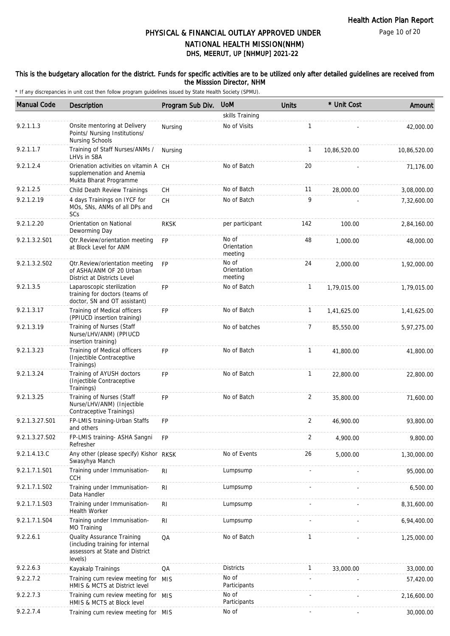Page 10 of 20

### DHS, MEERUT, UP [NHMUP] 2021-22 PHYSICAL & FINANCIAL OUTLAY APPROVED UNDER NATIONAL HEALTH MISSION(NHM)

#### This is the budgetary allocation for the district. Funds for specific activities are to be utilized only after detailed guidelines are received from the Misssion Director, NHM

| <b>Manual Code</b> | Description                                                                                                  | Program Sub Div. | <b>UoM</b>                      | <b>Units</b>   | * Unit Cost  | Amount       |
|--------------------|--------------------------------------------------------------------------------------------------------------|------------------|---------------------------------|----------------|--------------|--------------|
|                    |                                                                                                              |                  | skills Training                 |                |              |              |
| 9.2.1.1.3          | Onsite mentoring at Delivery<br>Points/ Nursing Institutions/<br><b>Nursing Schools</b>                      | Nursing          | No of Visits                    | $\mathbf{1}$   |              | 42,000.00    |
| 9.2.1.1.7          | Training of Staff Nurses/ANMs /<br>LHVs in SBA                                                               | Nursing          |                                 | 1              | 10,86,520.00 | 10,86,520.00 |
| 9.2.1.2.4          | Orienation activities on vitamin A CH<br>supplemenation and Anemia<br>Mukta Bharat Programme                 |                  | No of Batch                     | 20             |              | 71,176.00    |
| 9.2.1.2.5          | Child Death Review Trainings                                                                                 | СH               | No of Batch                     | 11             | 28,000.00    | 3,08,000.00  |
| 9.2.1.2.19         | 4 days Trainings on IYCF for<br>MOs, SNs, ANMs of all DPs and<br>SCs                                         | <b>CH</b>        | No of Batch                     | 9              |              | 7,32,600.00  |
| 9.2.1.2.20         | Orientation on National<br>Deworming Day                                                                     | <b>RKSK</b>      | per participant                 | 142            | 100.00       | 2,84,160.00  |
| 9.2.1.3.2.S01      | Otr.Review/orientation meeting<br>at Block Level for ANM                                                     | <b>FP</b>        | No of<br>Orientation<br>meeting | 48             | 1,000.00     | 48,000.00    |
| 9.2.1.3.2.S02      | Otr. Review/orientation meeting<br>of ASHA/ANM OF 20 Urban<br>District at Districts Level                    | <b>FP</b>        | No of<br>Orientation<br>meeting | 24             | 2,000.00     | 1,92,000.00  |
| 9.2.1.3.5          | Laparoscopic sterilization<br>training for doctors (teams of<br>doctor, SN and OT assistant)                 | FP               | No of Batch                     | $\mathbf{1}$   | 1,79,015.00  | 1,79,015.00  |
| 9.2.1.3.17         | Training of Medical officers<br>(PPIUCD insertion training)                                                  | FP               | No of Batch                     | $\mathbf{1}$   | 1,41,625.00  | 1,41,625.00  |
| 9.2.1.3.19         | Training of Nurses (Staff<br>Nurse/LHV/ANM) (PPIUCD<br>insertion training)                                   |                  | No of batches                   | 7              | 85,550.00    | 5,97,275.00  |
| 9.2.1.3.23         | Training of Medical officers<br>(Injectible Contraceptive<br>Trainings)                                      | <b>FP</b>        | No of Batch                     | $\mathbf{1}$   | 41,800.00    | 41,800.00    |
| 9.2.1.3.24         | Training of AYUSH doctors<br>(Injectible Contraceptive<br>Trainings)                                         | <b>FP</b>        | No of Batch                     | $\mathbf{1}$   | 22,800.00    | 22,800.00    |
| 9.2.1.3.25         | Training of Nurses (Staff<br>Nurse/LHV/ANM) (Injectible<br>Contraceptive Trainings)                          | FP               | No of Batch                     | 2              | 35,800.00    | 71,600.00    |
| 9.2.1.3.27.S01     | FP-LMIS training-Urban Staffs<br>and others                                                                  | <b>FP</b>        |                                 | 2              | 46,900.00    | 93,800.00    |
| 9.2.1.3.27.S02     | FP-LMIS training- ASHA Sangni<br>Refresher                                                                   | <b>FP</b>        |                                 | $\overline{2}$ | 4,900.00     | 9,800.00     |
| 9.2.1.4.13.C       | Any other (please specify) Kishor RKSK<br>Swasyhya Manch                                                     |                  | No of Events                    | 26             | 5,000.00     | 1,30,000.00  |
| 9.2.1.7.1.S01      | Training under Immunisation-<br><b>CCH</b>                                                                   | RI               | Lumpsump                        |                |              | 95,000.00    |
| 9.2.1.7.1.S02      | Training under Immunisation-<br>Data Handler                                                                 | R <sub>l</sub>   | Lumpsump                        |                |              | 6,500.00     |
| 9.2.1.7.1.S03      | Training under Immunisation-<br>Health Worker                                                                | RI               | Lumpsump                        |                |              | 8,31,600.00  |
| 9.2.1.7.1.S04      | Training under Immunisation-<br>MO Training                                                                  | <b>RI</b>        | Lumpsump                        |                |              | 6,94,400.00  |
| 9.2.2.6.1          | Quality Assurance Training<br>(including training for internal<br>assessors at State and District<br>levels) | QA               | No of Batch                     | $\mathbf{1}$   |              | 1,25,000.00  |
| 9.2.2.6.3          | Kayakalp Trainings                                                                                           | QA               | <b>Districts</b>                | $\mathbf{1}$   | 33,000.00    | 33,000.00    |
| 9.2.2.7.2          | Training cum review meeting for MIS<br>HMIS & MCTS at District level                                         |                  | No of<br>Participants           |                |              | 57,420.00    |
| 9.2.2.7.3          | Training cum review meeting for MIS<br>HMIS & MCTS at Block level                                            |                  | No of<br>Participants           |                |              | 2,16,600.00  |
| 9.2.2.7.4          | Training cum review meeting for MIS                                                                          |                  | No of                           | $\sim$         |              | 30,000.00    |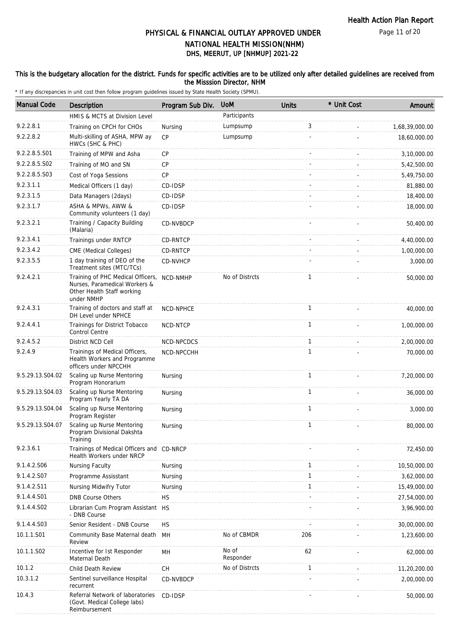#### This is the budgetary allocation for the district. Funds for specific activities are to be utilized only after detailed guidelines are received from the Misssion Director, NHM

| <b>Manual Code</b> | Description                                                                                                    | Program Sub Div. | <b>UoM</b>         | <b>Units</b> | * Unit Cost | Amount         |
|--------------------|----------------------------------------------------------------------------------------------------------------|------------------|--------------------|--------------|-------------|----------------|
|                    | HMIS & MCTS at Division Level                                                                                  |                  | Participants       |              |             |                |
| 9.2.2.8.1          | Training on CPCH for CHOs                                                                                      | Nursing          | Lumpsump           | 3            |             | 1,68,39,000.00 |
| 9.2.2.8.2          | Multi-skilling of ASHA, MPW ay<br>HWCs (SHC & PHC)                                                             | <b>CP</b>        | Lumpsump           |              |             | 18,60,000.00   |
| 9.2.2.8.5.S01      | Training of MPW and Asha                                                                                       | <b>CP</b>        |                    |              |             | 3,10,000.00    |
| 9.2.2.8.5.S02      | Training of MO and SN                                                                                          | <b>CP</b>        |                    |              |             | 5,42,500.00    |
| 9.2.2.8.5.S03      | Cost of Yoga Sessions                                                                                          | <b>CP</b>        |                    |              |             | 5,49,750.00    |
| 9.2.3.1.1          | Medical Officers (1 day)                                                                                       | CD-IDSP          |                    |              |             | 81,880.00      |
| 9.2.3.1.5          | Data Managers (2days)                                                                                          | CD-IDSP          |                    |              |             | 18,400.00      |
| 9.2.3.1.7          | ASHA & MPWs, AWW &<br>Community volunteers (1 day)                                                             | CD-IDSP          |                    |              |             | 18,000.00      |
| 9.2.3.2.1          | Training / Capacity Building<br>(Malaria)                                                                      | CD-NVBDCP        |                    |              |             | 50,400.00      |
| 9.2.3.4.1          | Trainings under RNTCP                                                                                          | CD-RNTCP         |                    |              |             | 4,40,000.00    |
| 9.2.3.4.2          | CME (Medical Colleges)                                                                                         | CD-RNTCP         |                    |              |             | 1,00,000.00    |
| 9.2.3.5.5          | 1 day training of DEO of the<br>Treatment sites (MTC/TCs)                                                      | CD-NVHCP         |                    |              |             | 3,000.00       |
| 9.2.4.2.1          | Training of PHC Medical Officers,<br>Nurses, Paramedical Workers &<br>Other Health Staff working<br>under NMHP | NCD-NMHP         | No of Distrcts     | $\mathbf{1}$ |             | 50,000.00      |
| 9.2.4.3.1          | Training of doctors and staff at<br>DH Level under NPHCE                                                       | <b>NCD-NPHCE</b> |                    | 1            |             | 40,000.00      |
| 9.2.4.4.1          | Trainings for District Tobacco<br>Control Centre                                                               | NCD-NTCP         |                    | $\mathbf{1}$ |             | 1,00,000.00    |
| 9.2.4.5.2          | District NCD Cell                                                                                              | NCD-NPCDCS       |                    | 1            |             | 2,00,000.00    |
| 9.2.4.9            | Trainings of Medical Officers,<br>Health Workers and Programme<br>officers under NPCCHH                        | NCD-NPCCHH       |                    | 1            |             | 70,000.00      |
| 9.5.29.13.S04.02   | Scaling up Nurse Mentoring<br>Program Honorarium                                                               | Nursing          |                    | 1            |             | 7,20,000.00    |
| 9.5.29.13.S04.03   | Scaling up Nurse Mentoring<br>Program Yearly TA DA                                                             | Nursing          |                    | $\mathbf{1}$ |             | 36,000.00      |
| 9.5.29.13.S04.04   | Scaling up Nurse Mentoring<br>Program Register                                                                 | Nursing          |                    | $\mathbf{1}$ |             | 3,000.00       |
| 9.5.29.13.S04.07   | Scaling up Nurse Mentoring<br>Program Divisional Dakshta<br>Training                                           | Nursing          |                    | 1            |             | 80,000.00      |
| 9.2.3.6.1          | Trainings of Medical Officers and CD-NRCP<br>Health Workers under NRCP                                         |                  |                    |              |             | 72,450.00      |
| 9.1.4.2.S06        | Nursing Faculty                                                                                                | Nursing          |                    | 1            |             | 10,50,000.00   |
| 9.1.4.2.S07        | Programme Assisstant                                                                                           | Nursing          |                    | $\mathbf{1}$ |             | 3,62,000.00    |
| 9.1.4.2.S11        | Nursing Midwifry Tutor                                                                                         | Nursing          |                    | 1            |             | 15,49,000.00   |
| 9.1.4.4.S01        | <b>DNB Course Others</b>                                                                                       | <b>HS</b>        |                    |              |             | 27,54,000.00   |
| 9.1.4.4.S02        | Librarian Cum Program Assistant HS<br>- DNB Course                                                             |                  |                    |              |             | 3,96,900.00    |
| 9.1.4.4.S03        | Senior Resident - DNB Course                                                                                   | <b>HS</b>        |                    |              |             | 30,00,000.00   |
| 10.1.1.S01         | Community Base Maternal death<br>Review                                                                        | MH               | No of CBMDR        | 206          |             | 1,23,600.00    |
| 10.1.1.S02         | Incentive for Ist Responder<br>Maternal Death                                                                  | MH               | No of<br>Responder | 62           |             | 62,000.00      |
| 10.1.2             | Child Death Review                                                                                             | <b>CH</b>        | No of Distrcts     | 1            |             | 11,20,200.00   |
| 10.3.1.2           | Sentinel surveillance Hospital<br>recurrent                                                                    | CD-NVBDCP        |                    |              |             | 2,00,000.00    |
| 10.4.3             | Referral Network of laboratories<br>(Govt. Medical College labs)<br>Reimbursement                              | CD-IDSP          |                    |              |             | 50,000.00      |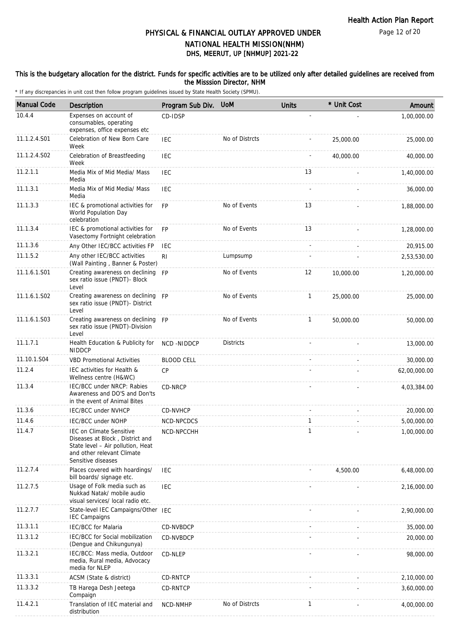Page 12 of 20

### PHYSICAL & FINANCIAL OUTLAY APPROVED UNDER NATIONAL HEALTH MISSION(NHM)

## DHS, MEERUT, UP [NHMUP] 2021-22

#### This is the budgetary allocation for the district. Funds for specific activities are to be utilized only after detailed guidelines are received from the Misssion Director, NHM

| <b>Manual Code</b> | Description                                                                                                                                                 | Program Sub Div.  | <b>UoM</b>       | <b>Units</b> | * Unit Cost | Amount       |
|--------------------|-------------------------------------------------------------------------------------------------------------------------------------------------------------|-------------------|------------------|--------------|-------------|--------------|
| 10.4.4             | Expenses on account of<br>consumables, operating<br>expenses, office expenses etc                                                                           | CD-IDSP           |                  |              |             | 1,00,000.00  |
| 11.1.2.4.S01       | Celebration of New Born Care<br>Week                                                                                                                        | <b>IEC</b>        | No of Distrcts   |              | 25,000.00   | 25,000.00    |
| 11.1.2.4.S02       | Celebration of Breastfeeding<br>Week                                                                                                                        | <b>IEC</b>        |                  |              | 40,000.00   | 40,000.00    |
| 11.2.1.1           | Media Mix of Mid Media/ Mass<br>Media                                                                                                                       | <b>IEC</b>        |                  | 13           |             | 1,40,000.00  |
| 11.1.3.1           | Media Mix of Mid Media/ Mass<br>Media                                                                                                                       | <b>IEC</b>        |                  |              |             | 36,000.00    |
| 11.1.3.3           | IEC & promotional activities for<br>World Population Day<br>celebration                                                                                     | FP                | No of Events     | 13           |             | 1,88,000.00  |
| 11.1.3.4           | IEC & promotional activities for<br>Vasectomy Fortnight celebration                                                                                         | <b>FP</b>         | No of Events     | 13           |             | 1,28,000.00  |
| 11.1.3.6           | Any Other IEC/BCC activities FP                                                                                                                             | <b>IEC</b>        |                  |              |             | 20,915.00    |
| 11.1.5.2           | Any other IEC/BCC activities<br>(Wall Painting, Banner & Poster)                                                                                            | <b>RI</b>         | Lumpsump         |              |             | 2,53,530.00  |
| 11.1.6.1.S01       | Creating awareness on declining FP<br>sex ratio issue (PNDT)- Block<br>Level                                                                                |                   | No of Events     | 12           | 10,000.00   | 1,20,000.00  |
| 11.1.6.1.S02       | Creating awareness on declining FP<br>sex ratio issue (PNDT)- District<br>Level                                                                             |                   | No of Events     | $\mathbf{1}$ | 25,000.00   | 25,000.00    |
| 11.1.6.1.S03       | Creating awareness on declining FP<br>sex ratio issue (PNDT)-Division<br>Level                                                                              |                   | No of Events     | $\mathbf{1}$ | 50,000.00   | 50,000.00    |
| 11.1.7.1           | Health Education & Publicity for<br><b>NIDDCP</b>                                                                                                           | <b>NCD-NIDDCP</b> | <b>Districts</b> |              |             | 13,000.00    |
| 11.10.1.S04        | <b>VBD Promotional Activities</b>                                                                                                                           | <b>BLOOD CELL</b> |                  |              |             | 30,000.00    |
| 11.2.4             | IEC activities for Health &<br>Wellness centre (H&WC)                                                                                                       | <b>CP</b>         |                  |              |             | 62,00,000.00 |
| 11.3.4             | IEC/BCC under NRCP: Rabies<br>Awareness and DO'S and Don'ts<br>in the event of Animal Bites                                                                 | CD-NRCP           |                  |              |             | 4,03,384.00  |
| 11.3.6             | IEC/BCC under NVHCP                                                                                                                                         | CD-NVHCP          |                  |              |             | 20,000.00    |
| 11.4.6             | IEC/BCC under NOHP                                                                                                                                          | NCD-NPCDCS        |                  | 1            |             | 5,00,000.00  |
| 11.4.7             | <b>IEC on Climate Sensitive</b><br>Diseases at Block, District and<br>State level - Air pollution, Heat<br>and other relevant Climate<br>Sensitive diseases | NCD-NPCCHH        |                  | $\mathbf{1}$ |             | 1,00,000.00  |
| 11.2.7.4           | Places covered with hoardings/<br>bill boards/ signage etc.                                                                                                 | <b>IEC</b>        |                  |              | 4,500.00    | 6,48,000.00  |
| 11.2.7.5           | Usage of Folk media such as<br>Nukkad Natak/ mobile audio<br>visual services/ local radio etc.                                                              | <b>IEC</b>        |                  |              |             | 2,16,000.00  |
| 11.2.7.7           | State-level IEC Campaigns/Other IEC<br><b>IEC Campaigns</b>                                                                                                 |                   |                  |              |             | 2,90,000.00  |
| 11.3.1.1           | <b>IEC/BCC</b> for Malaria                                                                                                                                  | CD-NVBDCP         |                  |              |             | 35,000.00    |
| 11.3.1.2           | IEC/BCC for Social mobilization<br>(Dengue and Chikungunya)                                                                                                 | CD-NVBDCP         |                  |              |             | 20,000.00    |
| 11.3.2.1           | IEC/BCC: Mass media, Outdoor<br>media, Rural media, Advocacy<br>media for NLEP                                                                              | CD-NLEP           |                  |              |             | 98,000.00    |
| 11.3.3.1           | ACSM (State & district)                                                                                                                                     | CD-RNTCP          |                  |              |             | 2,10,000.00  |
| 11.3.3.2           | TB Harega Desh Jeetega<br>Compaign                                                                                                                          | CD-RNTCP          |                  |              |             | 3,60,000.00  |
| 11.4.2.1           | Translation of IEC material and<br>distribution                                                                                                             | NCD-NMHP          | No of Distrcts   | 1            |             | 4,00,000.00  |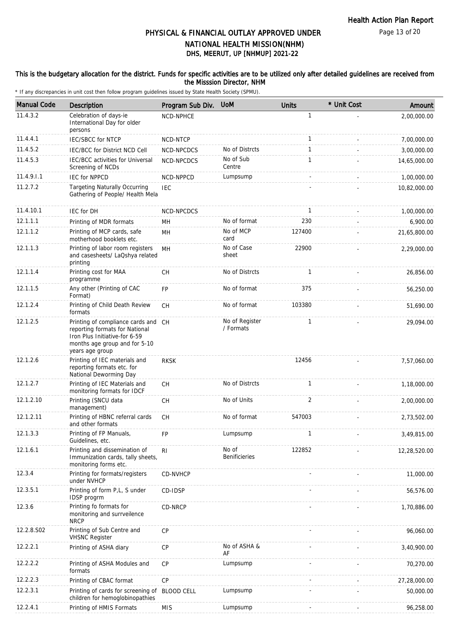Page 13 of 20

### PHYSICAL & FINANCIAL OUTLAY APPROVED UNDER NATIONAL HEALTH MISSION(NHM)

### DHS, MEERUT, UP [NHMUP] 2021-22

#### This is the budgetary allocation for the district. Funds for specific activities are to be utilized only after detailed guidelines are received from the Misssion Director, NHM

| <b>Manual Code</b> | <b>Description</b>                                                                                                                                         | Program Sub Div.  | <b>UoM</b>                    | <b>Units</b>   | * Unit Cost | Amount       |
|--------------------|------------------------------------------------------------------------------------------------------------------------------------------------------------|-------------------|-------------------------------|----------------|-------------|--------------|
| 11.4.3.2           | Celebration of days-ie<br>International Day for older<br>persons                                                                                           | NCD-NPHCE         |                               | $\mathbf{1}$   |             | 2,00,000.00  |
| 11.4.4.1           | <b>IEC/SBCC for NTCP</b>                                                                                                                                   | NCD-NTCP          |                               | $\mathbf{1}$   |             | 7,00,000.00  |
| 11.4.5.2           | <b>IEC/BCC for District NCD Cell</b>                                                                                                                       | NCD-NPCDCS        | No of Distrcts                | $\mathbf{1}$   |             | 3,00,000.00  |
| 11.4.5.3           | IEC/BCC activities for Universal<br>Screening of NCDs                                                                                                      | NCD-NPCDCS        | No of Sub<br>Centre           | $\mathbf{1}$   |             | 14,65,000.00 |
| 11.4.9.1.1         | <b>IEC for NPPCD</b>                                                                                                                                       | NCD-NPPCD         | Lumpsump                      |                | $\sim$      | 1,00,000.00  |
| 11.2.7.2           | <b>Targeting Naturally Occurring</b><br>Gathering of People/ Health Mela                                                                                   | <b>IEC</b>        |                               |                |             | 10,82,000.00 |
| 11.4.10.1          | <b>IEC for DH</b>                                                                                                                                          | NCD-NPCDCS        |                               | $\overline{1}$ |             | 1,00,000.00  |
| 12.1.1.1           | Printing of MDR formats                                                                                                                                    | MН                | No of format                  | 230            |             | 6,900.00     |
| 12.1.1.2           | Printing of MCP cards, safe<br>motherhood booklets etc.                                                                                                    | MН                | No of MCP<br>card             | 127400         |             | 21,65,800.00 |
| 12.1.1.3           | Printing of labor room registers<br>and casesheets/ LaQshya related<br>printing                                                                            | MH                | No of Case<br>sheet           | 22900          |             | 2,29,000.00  |
| 12.1.1.4           | Printing cost for MAA<br>programme                                                                                                                         | CH                | No of Distrcts                | $\mathbf{1}$   |             | 26,856.00    |
| 12.1.1.5           | Any other (Printing of CAC<br>Format)                                                                                                                      | FP                | No of format                  | 375            |             | 56,250.00    |
| 12.1.2.4           | Printing of Child Death Review<br>formats                                                                                                                  | CH                | No of format                  | 103380         |             | 51,690.00    |
| 12.1.2.5           | Printing of compliance cards and CH<br>reporting formats for National<br>Iron Plus Initiative-for 6-59<br>months age group and for 5-10<br>years age group |                   | No of Register<br>/ Formats   | $\mathbf{1}$   |             | 29,094.00    |
| 12.1.2.6           | Printing of IEC materials and<br>reporting formats etc. for<br>National Deworming Day                                                                      | <b>RKSK</b>       |                               | 12456          |             | 7,57,060.00  |
| 12.1.2.7           | Printing of IEC Materials and<br>monitoring formats for IDCF                                                                                               | <b>CH</b>         | No of Distrcts                | $\mathbf{1}$   |             | 1,18,000.00  |
| 12.1.2.10          | Printing (SNCU data<br>management)                                                                                                                         | CH                | No of Units                   | 2              |             | 2,00,000.00  |
| 12.1.2.11          | Printing of HBNC referral cards<br>and other formats                                                                                                       | CH                | No of format                  | 547003         |             | 2,73,502.00  |
| 12.1.3.3           | Printing of FP Manuals,<br>Guidelines, etc.                                                                                                                | <b>FP</b>         | Lumpsump                      |                |             | 3,49,815.00  |
| 12.1.6.1           | Printing and dissemination of<br>Immunization cards, tally sheets,<br>monitoring forms etc.                                                                | R <sub>1</sub>    | No of<br><b>Benificieries</b> | 122852         |             | 12,28,520.00 |
| 12.3.4             | Printing for formats/registers<br>under NVHCP                                                                                                              | CD-NVHCP          |                               |                |             | 11,000.00    |
| 12.3.5.1           | Printing of form P,L, S under<br>IDSP progrm                                                                                                               | CD-IDSP           |                               |                |             | 56,576.00    |
| 12.3.6             | Printing fo formats for<br>monitoring and surrveilence<br><b>NRCP</b>                                                                                      | CD-NRCP           |                               |                |             | 1,70,886.00  |
| 12.2.8.S02         | Printing of Sub Centre and<br><b>VHSNC Register</b>                                                                                                        | <b>CP</b>         |                               |                |             | 96,060.00    |
| 12.2.2.1           | Printing of ASHA diary                                                                                                                                     | CP                | No of ASHA &<br>AF            |                |             | 3,40,900.00  |
| 12.2.2.2           | Printing of ASHA Modules and<br>formats                                                                                                                    | <b>CP</b>         | Lumpsump                      |                |             | 70,270.00    |
| 12.2.2.3           | Printing of CBAC format                                                                                                                                    | CP                |                               |                |             | 27,28,000.00 |
| 12.2.3.1           | Printing of cards for screening of<br>children for hemoglobinopathies                                                                                      | <b>BLOOD CELL</b> | Lumpsump                      |                |             | 50,000.00    |
| 12.2.4.1           | Printing of HMIS Formats                                                                                                                                   | <b>MIS</b>        | Lumpsump                      |                |             | 96,258.00    |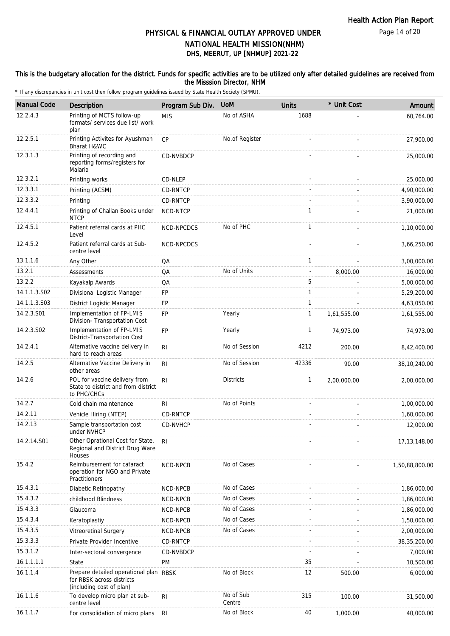Page 14 of 20

### PHYSICAL & FINANCIAL OUTLAY APPROVED UNDER NATIONAL HEALTH MISSION(NHM)

# DHS, MEERUT, UP [NHMUP] 2021-22

#### This is the budgetary allocation for the district. Funds for specific activities are to be utilized only after detailed guidelines are received from the Misssion Director, NHM

| <b>Manual Code</b> | Description                                                                                     | Program Sub Div. | <b>UoM</b>          | <b>Units</b> | * Unit Cost | Amount         |
|--------------------|-------------------------------------------------------------------------------------------------|------------------|---------------------|--------------|-------------|----------------|
| 12.2.4.3           | Printing of MCTS follow-up<br>formats/ services due list/ work<br>plan                          | <b>MIS</b>       | No of ASHA          | 1688         |             | 60,764.00      |
| 12.2.5.1           | Printing Activites for Ayushman<br>Bharat H&WC                                                  | <b>CP</b>        | No.of Register      |              |             | 27,900.00      |
| 12.3.1.3           | Printing of recording and<br>reporting forms/registers for<br>Malaria                           | CD-NVBDCP        |                     |              |             | 25,000.00      |
| 12.3.2.1           | Printing works                                                                                  | CD-NLEP          |                     |              |             | 25,000.00      |
| 12.3.3.1           | Printing (ACSM)                                                                                 | CD-RNTCP         |                     |              |             | 4,90,000.00    |
| 12.3.3.2           | Printing                                                                                        | CD-RNTCP         |                     |              |             | 3,90,000.00    |
| 12.4.4.1           | Printing of Challan Books under<br><b>NTCP</b>                                                  | NCD-NTCP         |                     | $\mathbf{1}$ |             | 21,000.00      |
| 12.4.5.1           | Patient referral cards at PHC<br>Level                                                          | NCD-NPCDCS       | No of PHC           | 1            |             | 1,10,000.00    |
| 12.4.5.2           | Patient referral cards at Sub-<br>centre level                                                  | NCD-NPCDCS       |                     |              |             | 3,66,250.00    |
| 13.1.1.6           | Any Other                                                                                       | QA               |                     | $\mathbf{1}$ |             | 3,00,000.00    |
| 13.2.1             | Assessments                                                                                     | QA               | No of Units         |              | 8,000.00    | 16,000.00      |
| 13.2.2             | Kayakalp Awards                                                                                 | QA               |                     | 5            |             | 5,00,000.00    |
| 14.1.1.3.S02       | Divisional Logistic Manager                                                                     | FP               |                     | $\mathbf{1}$ |             | 5,29,200.00    |
| 14.1.1.3.S03       | District Logistic Manager                                                                       | FP               |                     | $\mathbf{1}$ |             | 4,63,050.00    |
| 14.2.3.S01         | Implementation of FP-LMIS<br>Division- Transportation Cost                                      | FP               | Yearly              | 1            | 1,61,555.00 | 1,61,555.00    |
| 14.2.3.S02         | Implementation of FP-LMIS<br>District-Transportation Cost                                       | FP               | Yearly              | 1            | 74,973.00   | 74,973.00      |
| 14.2.4.1           | Alternative vaccine delivery in<br>hard to reach areas                                          | R <sub>l</sub>   | No of Session       | 4212         | 200.00      | 8,42,400.00    |
| 14.2.5             | Alternative Vaccine Delivery in<br>other areas                                                  | RI               | No of Session       | 42336        | 90.00       | 38,10,240.00   |
| 14.2.6             | POL for vaccine delivery from<br>State to district and from district<br>to PHC/CHCs             | R <sub>l</sub>   | <b>Districts</b>    | $\mathbf{1}$ | 2,00,000.00 | 2,00,000.00    |
| 14.2.7             | Cold chain maintenance                                                                          | RI               | No of Points        |              |             | 1,00,000.00    |
| 14.2.11            | Vehicle Hiring (NTEP)                                                                           | CD-RNTCP         |                     |              |             | 1,60,000.00    |
| 14.2.13            | Sample transportation cost<br>under NVHCP                                                       | <b>CD-NVHCP</b>  |                     |              |             | 12,000.00      |
| 14.2.14.S01        | Other Oprational Cost for State,<br>Regional and District Drug Ware<br>Houses                   | RI.              |                     |              |             | 17, 13, 148.00 |
| 15.4.2             | Reimbursement for cataract<br>operation for NGO and Private<br>Practitioners                    | NCD-NPCB         | No of Cases         |              |             | 1,50,88,800.00 |
| 15.4.3.1           | Diabetic Retinopathy                                                                            | NCD-NPCB         | No of Cases         |              |             | 1,86,000.00    |
| 15.4.3.2           | childhood Blindness                                                                             | NCD-NPCB         | No of Cases         |              |             | 1,86,000.00    |
| 15.4.3.3           | Glaucoma                                                                                        | NCD-NPCB         | No of Cases         |              |             | 1,86,000.00    |
| 15.4.3.4           | Keratoplastiy                                                                                   | NCD-NPCB         | No of Cases         |              |             | 1,50,000.00    |
| 15.4.3.5           | Vitreoretinal Surgery                                                                           | NCD-NPCB         | No of Cases         |              |             | 2,00,000.00    |
| 15.3.3.3           | Private Provider Incentive                                                                      | CD-RNTCP         |                     |              |             | 38, 35, 200.00 |
| 15.3.1.2           | Inter-sectoral convergence                                                                      | CD-NVBDCP        |                     |              |             | 7,000.00       |
| 16.1.1.1.1         | State                                                                                           | PM               |                     | 35           |             | 10,500.00      |
| 16.1.1.4           | Prepare detailed operational plan RBSK<br>for RBSK across districts<br>(including cost of plan) |                  | No of Block         | 12           | 500.00      | 6,000.00       |
| 16.1.1.6           | To develop micro plan at sub-<br>centre level                                                   | R <sub>l</sub>   | No of Sub<br>Centre | 315          | 100.00      | 31,500.00      |
| 16.1.1.7           | For consolidation of micro plans                                                                | RI               | No of Block         | 40           | 1,000.00    | 40,000.00      |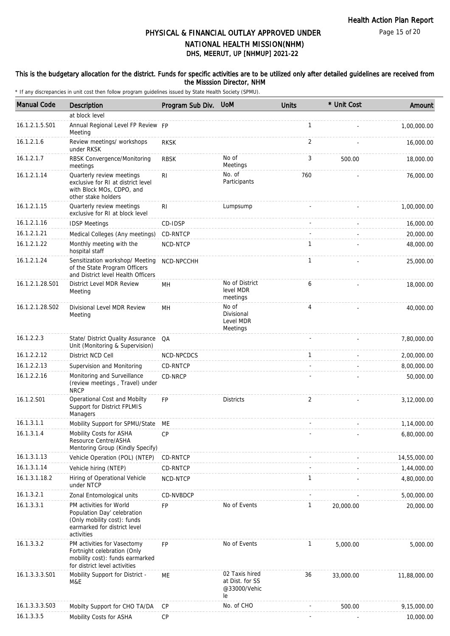Page 15 of 20

### DHS, MEERUT, UP [NHMUP] 2021-22 PHYSICAL & FINANCIAL OUTLAY APPROVED UNDER NATIONAL HEALTH MISSION(NHM)

### This is the budgetary allocation for the district. Funds for specific activities are to be utilized only after detailed guidelines are received from the Misssion Director, NHM

| <b>Manual Code</b> | Description                                                                                                                         | Program Sub Div. UoM |                                                         | <b>Units</b> | * Unit Cost | Amount       |
|--------------------|-------------------------------------------------------------------------------------------------------------------------------------|----------------------|---------------------------------------------------------|--------------|-------------|--------------|
|                    | at block level                                                                                                                      |                      |                                                         |              |             |              |
| 16.1.2.1.5.S01     | Annual Regional Level FP Review FP<br>Meeting                                                                                       |                      |                                                         | $\mathbf{1}$ |             | 1,00,000.00  |
| 16.1.2.1.6         | Review meetings/ workshops<br>under RKSK                                                                                            | <b>RKSK</b>          |                                                         | 2            |             | 16,000.00    |
| 16.1.2.1.7         | RBSK Convergence/Monitoring<br>meetings                                                                                             | <b>RBSK</b>          | No of<br>Meetings                                       | 3            | 500.00      | 18,000.00    |
| 16.1.2.1.14        | Quarterly review meetings<br>exclusive for RI at district level<br>with Block MOs, CDPO, and<br>other stake holders                 | RI                   | No. of<br>Participants                                  | 760          |             | 76,000.00    |
| 16.1.2.1.15        | Quarterly review meetings<br>exclusive for RI at block level                                                                        | R <sub>l</sub>       | Lumpsump                                                |              |             | 1,00,000.00  |
| 16.1.2.1.16        | <b>IDSP Meetings</b>                                                                                                                | CD-IDSP              |                                                         |              |             | 16,000.00    |
| 16.1.2.1.21        | Medical Colleges (Any meetings)                                                                                                     | CD-RNTCP             |                                                         |              |             | 20,000.00    |
| 16.1.2.1.22        | Monthly meeting with the<br>hospital staff                                                                                          | NCD-NTCP             |                                                         | 1            |             | 48,000.00    |
| 16.1.2.1.24        | Sensitization workshop/ Meeting<br>of the State Program Officers<br>and District level Health Officers                              | NCD-NPCCHH           |                                                         | $\mathbf{1}$ |             | 25,000.00    |
| 16.1.2.1.28.S01    | District Level MDR Review<br>Meeting                                                                                                | MН                   | No of District<br>level MDR<br>meetings                 | 6            |             | 18,000.00    |
| 16.1.2.1.28.S02    | Divisional Level MDR Review<br>Meeting                                                                                              | MН                   | No of<br>Divisional<br>Level MDR<br>Meetings            | 4            |             | 40,000.00    |
| 16.1.2.2.3         | State/ District Quality Assurance<br>Unit (Monitoring & Supervision)                                                                | QA                   |                                                         |              |             | 7,80,000.00  |
| 16.1.2.2.12        | District NCD Cell                                                                                                                   | NCD-NPCDCS           |                                                         | $\mathbf{1}$ |             | 2,00,000.00  |
| 16.1.2.2.13        | Supervision and Monitoring                                                                                                          | CD-RNTCP             |                                                         |              |             | 8,00,000.00  |
| 16.1.2.2.16        | Monitoring and Surveillance<br>(review meetings, Travel) under<br><b>NRCP</b>                                                       | CD-NRCP              |                                                         |              |             | 50,000.00    |
| 16.1.2.S01         | Operational Cost and Mobilty<br>Support for District FPLMIS<br>Managers                                                             | <b>FP</b>            | <b>Districts</b>                                        | 2            |             | 3,12,000.00  |
| 16.1.3.1.1         | Mobility Support for SPMU/State ME                                                                                                  |                      |                                                         |              |             | 1,14,000.00  |
| 16.1.3.1.4         | Mobility Costs for ASHA<br>Resource Centre/ASHA<br>Mentoring Group (Kindly Specify)                                                 | CР                   |                                                         |              |             | 6,80,000.00  |
| 16.1.3.1.13        | Vehicle Operation (POL) (NTEP)                                                                                                      | CD-RNTCP             |                                                         |              |             | 14,55,000.00 |
| 16.1.3.1.14        | Vehicle hiring (NTEP)                                                                                                               | CD-RNTCP             |                                                         |              |             | 1,44,000.00  |
| 16.1.3.1.18.2      | Hiring of Operational Vehicle<br>under NTCP                                                                                         | NCD-NTCP             |                                                         | $\mathbf{1}$ |             | 4,80,000.00  |
| 16.1.3.2.1         | Zonal Entomological units                                                                                                           | CD-NVBDCP            |                                                         |              |             | 5,00,000.00  |
| 16.1.3.3.1         | PM activities for World<br>Population Day' celebration<br>(Only mobility cost): funds<br>earmarked for district level<br>activities | FP                   | No of Events                                            | $\mathbf{1}$ | 20,000.00   | 20,000.00    |
| 16.1.3.3.2         | PM activities for Vasectomy<br>Fortnight celebration (Only<br>mobility cost): funds earmarked<br>for district level activities      | FP                   | No of Events                                            | 1            | 5,000.00    | 5,000.00     |
| 16.1.3.3.3.S01     | Mobility Support for District -<br>M&E                                                                                              | МE                   | 02 Taxis hired<br>at Dist. for SS<br>@33000/Vehic<br>le | 36           | 33,000.00   | 11,88,000.00 |
| 16.1.3.3.3.S03     | Mobilty Support for CHO TA/DA                                                                                                       | <b>CP</b>            | No. of CHO                                              |              | 500.00      | 9,15,000.00  |
| 16.1.3.3.5         | Mobility Costs for ASHA                                                                                                             | CP                   |                                                         |              |             | 10,000.00    |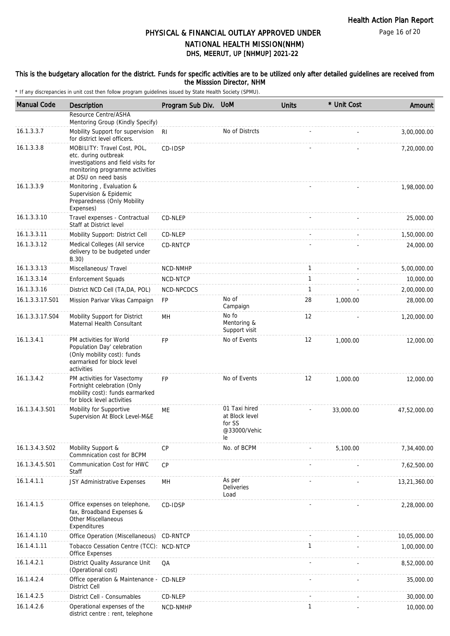Page 16 of 20

# PHYSICAL & FINANCIAL OUTLAY APPROVED UNDER

### DHS, MEERUT, UP [NHMUP] 2021-22 NATIONAL HEALTH MISSION(NHM)

#### This is the budgetary allocation for the district. Funds for specific activities are to be utilized only after detailed guidelines are received from the Misssion Director, NHM

| <b>Manual Code</b> | Description                                                                                                                                           | Program Sub Div. | <b>UoM</b>                                                      | <b>Units</b> | * Unit Cost | Amount       |
|--------------------|-------------------------------------------------------------------------------------------------------------------------------------------------------|------------------|-----------------------------------------------------------------|--------------|-------------|--------------|
|                    | Resource Centre/ASHA<br>Mentoring Group (Kindly Specify)                                                                                              |                  |                                                                 |              |             |              |
| 16.1.3.3.7         | Mobility Support for supervision<br>for district level officers.                                                                                      | -RI              | No of Distrcts                                                  |              |             | 3,00,000.00  |
| 16.1.3.3.8         | MOBILITY: Travel Cost, POL,<br>etc. during outbreak<br>investigations and field visits for<br>monitoring programme activities<br>at DSU on need basis | CD-IDSP          |                                                                 |              |             | 7,20,000.00  |
| 16.1.3.3.9         | Monitoring, Evaluation &<br>Supervision & Epidemic<br>Preparedness (Only Mobility<br>Expenses)                                                        |                  |                                                                 |              |             | 1,98,000.00  |
| 16.1.3.3.10        | Travel expenses - Contractual<br>Staff at District level                                                                                              | CD-NLEP          |                                                                 |              |             | 25,000.00    |
| 16.1.3.3.11        | Mobility Support: District Cell                                                                                                                       | CD-NLEP          |                                                                 |              |             | 1,50,000.00  |
| 16.1.3.3.12        | Medical Colleges (All service<br>delivery to be budgeted under<br>B.30)                                                                               | CD-RNTCP         |                                                                 |              |             | 24,000.00    |
| 16.1.3.3.13        | Miscellaneous/ Travel                                                                                                                                 | NCD-NMHP         |                                                                 | $\mathbf{1}$ |             | 5,00,000.00  |
| 16.1.3.3.14        | <b>Enforcement Squads</b>                                                                                                                             | NCD-NTCP         |                                                                 | $\mathbf{1}$ |             | 10,000.00    |
| 16.1.3.3.16        | District NCD Cell (TA, DA, POL)                                                                                                                       | NCD-NPCDCS       |                                                                 | $\mathbf{1}$ |             | 2,00,000.00  |
| 16.1.3.3.17.S01    | Mission Parivar Vikas Campaign                                                                                                                        | FP               | No of<br>Campaign                                               | 28           | 1,000.00    | 28,000.00    |
| 16.1.3.3.17.S04    | Mobility Support for District<br>Maternal Health Consultant                                                                                           | MН               | No fo<br>Mentoring &<br>Support visit                           | 12           |             | 1,20,000.00  |
| 16.1.3.4.1         | PM activities for World<br>Population Day' celebration<br>(Only mobility cost): funds<br>earmarked for block level<br>activities                      | <b>FP</b>        | No of Events                                                    | 12           | 1,000.00    | 12,000.00    |
| 16.1.3.4.2         | PM activities for Vasectomy<br>Fortnight celebration (Only<br>mobility cost): funds earmarked<br>for block level activities                           | <b>FP</b>        | No of Events                                                    | 12           | 1,000.00    | 12,000.00    |
| 16.1.3.4.3.S01     | Mobility for Supportive<br>Supervision At Block Level-M&E                                                                                             | МE               | 01 Taxi hired<br>at Block level<br>for SS<br>@33000/Vehic<br>le |              | 33,000.00   | 47,52,000.00 |
| 16.1.3.4.3.S02     | Mobility Support &<br>Commnication cost for BCPM                                                                                                      | CP               | No. of BCPM                                                     |              | 5,100.00    | 7,34,400.00  |
| 16.1.3.4.5.S01     | Communication Cost for HWC<br>Staff                                                                                                                   | <b>CP</b>        |                                                                 |              |             | 7,62,500.00  |
| 16.1.4.1.1         | JSY Administrative Expenses                                                                                                                           | MH               | As per<br>Deliveries<br>Load                                    |              |             | 13,21,360.00 |
| 16.1.4.1.5         | Office expenses on telephone,<br>fax, Broadband Expenses &<br><b>Other Miscellaneous</b><br>Expenditures                                              | CD-IDSP          |                                                                 |              |             | 2,28,000.00  |
| 16.1.4.1.10        | Office Operation (Miscellaneous)                                                                                                                      | CD-RNTCP         |                                                                 |              |             | 10,05,000.00 |
| 16.1.4.1.11        | Tobacco Cessation Centre (TCC): NCD-NTCP<br>Office Expenses                                                                                           |                  |                                                                 | $\mathbf{1}$ |             | 1,00,000.00  |
| 16.1.4.2.1         | District Quality Assurance Unit<br>(Operational cost)                                                                                                 | QA               |                                                                 |              |             | 8,52,000.00  |
| 16.1.4.2.4         | Office operation & Maintenance -<br><b>District Cell</b>                                                                                              | CD-NLEP          |                                                                 |              |             | 35,000.00    |
| 16.1.4.2.5         | District Cell - Consumables                                                                                                                           | CD-NLEP          |                                                                 |              |             | 30,000.00    |
| 16.1.4.2.6         | Operational expenses of the<br>district centre : rent, telephone                                                                                      | NCD-NMHP         |                                                                 | 1            |             | 10,000.00    |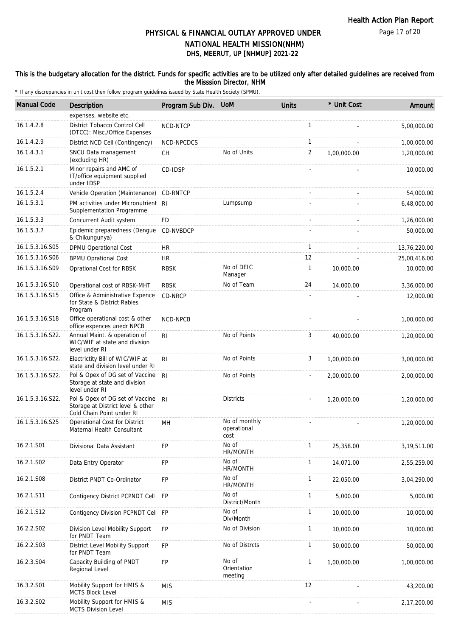Page 17 of 20

### DHS, MEERUT, UP [NHMUP] 2021-22 PHYSICAL & FINANCIAL OUTLAY APPROVED UNDER NATIONAL HEALTH MISSION(NHM)

### This is the budgetary allocation for the district. Funds for specific activities are to be utilized only after detailed guidelines are received from the Misssion Director, NHM

| <b>Manual Code</b> | Description                                                                                       | Program Sub Div. | <b>UoM</b>                           | <b>Units</b> | * Unit Cost | Amount       |
|--------------------|---------------------------------------------------------------------------------------------------|------------------|--------------------------------------|--------------|-------------|--------------|
|                    | expenses, website etc.                                                                            |                  |                                      |              |             |              |
| 16.1.4.2.8         | District Tobacco Control Cell<br>(DTCC): Misc./Office Expenses                                    | NCD-NTCP         |                                      | $\mathbf{1}$ |             | 5,00,000.00  |
| 16.1.4.2.9         | District NCD Cell (Contingency)                                                                   | NCD-NPCDCS       |                                      | 1            |             | 1,00,000.00  |
| 16.1.4.3.1         | SNCU Data management<br>(excluding HR)                                                            | <b>CH</b>        | No of Units                          | 2            | 1,00,000.00 | 1,20,000.00  |
| 16.1.5.2.1         | Minor repairs and AMC of<br>IT/office equipment supplied<br>under IDSP                            | CD-IDSP          |                                      |              |             | 10,000.00    |
| 16.1.5.2.4         | Vehicle Operation (Maintenance)                                                                   | CD-RNTCP         |                                      |              |             | 54,000.00    |
| 16.1.5.3.1         | PM activities under Micronutrient RI<br>Supplementation Programme                                 |                  | Lumpsump                             |              |             | 6,48,000.00  |
| 16.1.5.3.3         | Concurrent Audit system                                                                           | <b>FD</b>        |                                      |              |             | 1,26,000.00  |
| 16.1.5.3.7         | Epidemic preparedness (Dengue<br>& Chikungunya)                                                   | CD-NVBDCP        |                                      |              |             | 50,000.00    |
| 16.1.5.3.16.S05    | DPMU Operational Cost                                                                             | <b>HR</b>        |                                      | $\mathbf{1}$ |             | 13,76,220.00 |
| 16.1.5.3.16.S06    | <b>BPMU Oprational Cost</b>                                                                       | <b>HR</b>        |                                      | 12           |             | 25,00,416.00 |
| 16.1.5.3.16.S09    | Oprational Cost for RBSK                                                                          | <b>RBSK</b>      | No of DEIC<br>Manager                | 1            | 10,000.00   | 10,000.00    |
| 16.1.5.3.16.S10    | Operational cost of RBSK-MHT                                                                      | <b>RBSK</b>      | No of Team                           | 24           | 14,000.00   | 3,36,000.00  |
| 16.1.5.3.16.S15    | Office & Administrative Expence<br>for State & District Rabies<br>Program                         | CD-NRCP          |                                      |              |             | 12,000.00    |
| 16.1.5.3.16.S18    | Office operational cost & other<br>office expences unedr NPCB                                     | NCD-NPCB         |                                      |              |             | 1,00,000.00  |
| 16.1.5.3.16.S22.   | Annual Maint. & operation of<br>WIC/WIF at state and division<br>level under RI                   | R <sub>l</sub>   | No of Points                         | 3            | 40,000.00   | 1,20,000.00  |
| 16.1.5.3.16.S22.   | Electrictity Bill of WIC/WIF at<br>state and division level under RI                              | RI.              | No of Points                         | 3            | 1,00,000.00 | 3,00,000.00  |
| 16.1.5.3.16.S22.   | Pol & Opex of DG set of Vaccine<br>Storage at state and division<br>level under RI                | R <sub>l</sub>   | No of Points                         |              | 2,00,000.00 | 2,00,000.00  |
| 16.1.5.3.16.S22.   | Pol & Opex of DG set of Vaccine<br>Storage at District level & other<br>Cold Chain Point under RI | R <sub>l</sub>   | <b>Districts</b>                     |              | 1,20,000.00 | 1,20,000.00  |
| 16.1.5.3.16.S25    | Operational Cost for District<br>Maternal Health Consultant                                       | MH               | No of monthly<br>operational<br>cost |              |             | 1,20,000.00  |
| 16.2.1.S01         | Divisional Data Assistant                                                                         | <b>FP</b>        | No of<br>HR/MONTH                    | 1            | 25,358.00   | 3,19,511.00  |
| 16.2.1.S02         | Data Entry Operator                                                                               | FP               | No of<br>HR/MONTH                    | $\mathbf{1}$ | 14,071.00   | 2,55,259.00  |
| 16.2.1.S08         | District PNDT Co-Ordinator                                                                        | FP               | No of<br>HR/MONTH                    | 1            | 22,050.00   | 3,04,290.00  |
| 16.2.1.S11         | Contigency District PCPNDT Cell                                                                   | FP               | No of<br>District/Month              | 1            | 5,000.00    | 5,000.00     |
| 16.2.1.S12         | Contigency Division PCPNDT Cell FP                                                                |                  | No of<br>Div/Month                   | 1            | 10,000.00   | 10,000.00    |
| 16.2.2.S02         | Division Level Mobility Support<br>for PNDT Team                                                  | <b>FP</b>        | No of Division                       | 1            | 10,000.00   | 10,000.00    |
| 16.2.2.S03         | District Level Mobility Support<br>for PNDT Team                                                  | <b>FP</b>        | No of Distrcts                       | 1            | 50,000.00   | 50,000.00    |
| 16.2.3.S04         | Capacity Building of PNDT<br>Regional Level                                                       | <b>FP</b>        | No of<br>Orientation<br>meeting      | 1            | 1,00,000.00 | 1,00,000.00  |
| 16.3.2.S01         | Mobility Support for HMIS &<br><b>MCTS Block Level</b>                                            | <b>MIS</b>       |                                      | 12           |             | 43,200.00    |
| 16.3.2.S02         | Mobility Support for HMIS &<br><b>MCTS Division Level</b>                                         | <b>MIS</b>       |                                      |              |             | 2,17,200.00  |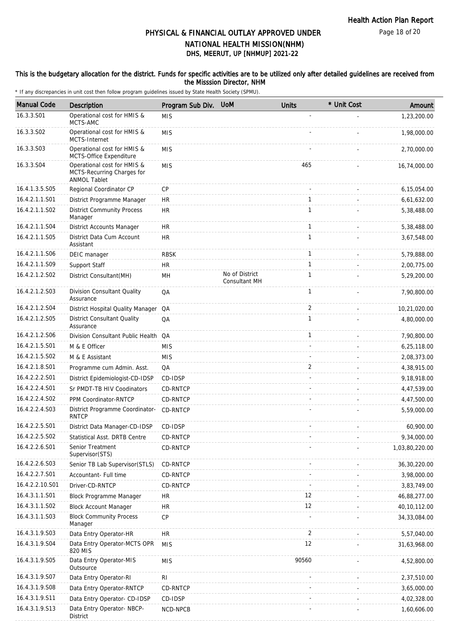### PHYSICAL & FINANCIAL OUTLAY APPROVED UNDER NATIONAL HEALTH MISSION(NHM)

### DHS, MEERUT, UP [NHMUP] 2021-22

#### This is the budgetary allocation for the district. Funds for specific activities are to be utilized only after detailed guidelines are received from the Misssion Director, NHM

| <b>Manual Code</b> | <b>Description</b>                                                               | Program Sub Div. | <b>UoM</b>                             | <b>Units</b> | * Unit Cost | Amount         |
|--------------------|----------------------------------------------------------------------------------|------------------|----------------------------------------|--------------|-------------|----------------|
| 16.3.3.S01         | Operational cost for HMIS &<br>MCTS-AMC                                          | <b>MIS</b>       |                                        |              |             | 1,23,200.00    |
| 16.3.3.S02         | Operational cost for HMIS &                                                      | <b>MIS</b>       |                                        |              |             | 1,98,000.00    |
| 16.3.3.S03         | MCTS-Internet<br>Operational cost for HMIS &<br>MCTS-Office Expenditure          | <b>MIS</b>       |                                        |              |             | 2,70,000.00    |
| 16.3.3.S04         | Operational cost for HMIS &<br>MCTS-Recurring Charges for<br><b>ANMOL Tablet</b> | <b>MIS</b>       |                                        | 465          |             | 16,74,000.00   |
| 16.4.1.3.5.S05     | Regional Coordinator CP                                                          | <b>CP</b>        |                                        |              |             | 6,15,054.00    |
| 16.4.2.1.1.S01     | District Programme Manager                                                       | <b>HR</b>        |                                        | 1            |             | 6,61,632.00    |
| 16.4.2.1.1.S02     | <b>District Community Process</b><br>Manager                                     | <b>HR</b>        |                                        | $\mathbf{1}$ |             | 5,38,488.00    |
| 16.4.2.1.1.S04     | District Accounts Manager                                                        | <b>HR</b>        |                                        | $\mathbf{1}$ |             | 5,38,488.00    |
| 16.4.2.1.1.S05     | District Data Cum Account<br>Assistant                                           | <b>HR</b>        |                                        | $\mathbf{1}$ |             | 3,67,548.00    |
| 16.4.2.1.1.S06     | DEIC manager                                                                     | <b>RBSK</b>      |                                        | $\mathbf{1}$ |             | 5,79,888.00    |
| 16.4.2.1.1.S09     | Support Staff                                                                    | <b>HR</b>        |                                        | $\mathbf{1}$ |             | 2,00,775.00    |
| 16.4.2.1.2.S02     | District Consultant(MH)                                                          | MН               | No of District<br><b>Consultant MH</b> | $\mathbf{1}$ |             | 5,29,200.00    |
| 16.4.2.1.2.S03     | Division Consultant Quality<br>Assurance                                         | QA               |                                        | $\mathbf{1}$ |             | 7,90,800.00    |
| 16.4.2.1.2.S04     | District Hospital Quality Manager QA                                             |                  |                                        | 2            |             | 10,21,020.00   |
| 16.4.2.1.2.S05     | District Consultant Quality<br>Assurance                                         | QA               |                                        | $\mathbf{1}$ |             | 4,80,000.00    |
| 16.4.2.1.2.S06     | Division Consultant Public Health QA                                             |                  |                                        | $\mathbf{1}$ |             | 7,90,800.00    |
| 16.4.2.1.5.S01     | M & E Officer                                                                    | <b>MIS</b>       |                                        |              |             | 6,25,118.00    |
| 16.4.2.1.5.S02     | M & E Assistant                                                                  | <b>MIS</b>       |                                        |              |             | 2,08,373.00    |
| 16.4.2.1.8.S01     | Programme cum Admin. Asst.                                                       | QA               |                                        | 2            |             | 4,38,915.00    |
| 16.4.2.2.2.S01     | District Epidemiologist-CD-IDSP                                                  | CD-IDSP          |                                        |              |             | 9,18,918.00    |
| 16.4.2.2.4.S01     | Sr PMDT-TB HIV Coodinators                                                       | CD-RNTCP         |                                        |              |             | 4,47,539.00    |
| 16.4.2.2.4.S02     | PPM Coordinator-RNTCP                                                            | CD-RNTCP         |                                        |              |             | 4,47,500.00    |
| 16.4.2.2.4.S03     | District Programme Coordinator-<br><b>RNTCP</b>                                  | CD-RNTCP         |                                        |              |             | 5,59,000.00    |
| 16.4.2.2.5.S01     | District Data Manager-CD-IDSP                                                    | CD-IDSP          |                                        |              |             | 60,900.00      |
| 16.4.2.2.5.S02     | Statistical Asst. DRTB Centre                                                    | CD-RNTCP         |                                        |              |             | 9,34,000.00    |
| 16.4.2.2.6.S01     | Senior Treatment<br>Supervisor(STS)                                              | CD-RNTCP         |                                        |              |             | 1,03,80,220.00 |
| 16.4.2.2.6.S03     | Senior TB Lab Supervisor(STLS)                                                   | CD-RNTCP         |                                        |              |             | 36, 30, 220.00 |
| 16.4.2.2.7.S01     | Accountant- Full time                                                            | CD-RNTCP         |                                        |              |             | 3,98,000.00    |
| 16.4.2.2.10.S01    | Driver-CD-RNTCP                                                                  | CD-RNTCP         |                                        |              |             | 3,83,749.00    |
| 16.4.3.1.1.S01     | Block Programme Manager                                                          | <b>HR</b>        |                                        | 12           |             | 46,88,277.00   |
| 16.4.3.1.1.S02     | <b>Block Account Manager</b>                                                     | HR               |                                        | 12           |             | 40,10,112.00   |
| 16.4.3.1.1.S03     | <b>Block Community Process</b><br>Manager                                        | <b>CP</b>        |                                        |              |             | 34, 33, 084.00 |
| 16.4.3.1.9.S03     | Data Entry Operator-HR                                                           | <b>HR</b>        |                                        | 2            |             | 5,57,040.00    |
| 16.4.3.1.9.S04     | Data Entry Operator-MCTS OPR<br>820 MIS                                          | <b>MIS</b>       |                                        | 12           |             | 31,63,968.00   |
| 16.4.3.1.9.S05     | Data Entry Operator-MIS<br>Outsource                                             | <b>MIS</b>       |                                        | 90560        |             | 4,52,800.00    |
| 16.4.3.1.9.S07     | Data Entry Operator-RI                                                           | RI               |                                        |              |             | 2,37,510.00    |
| 16.4.3.1.9.S08     | Data Entry Operator-RNTCP                                                        | CD-RNTCP         |                                        |              |             | 3,65,000.00    |
| 16.4.3.1.9.S11     | Data Entry Operator- CD-IDSP                                                     | CD-IDSP          |                                        |              |             | 4,02,328.00    |
| 16.4.3.1.9.S13     | Data Entry Operator- NBCP-<br>District                                           | NCD-NPCB         |                                        |              |             | 1,60,606.00    |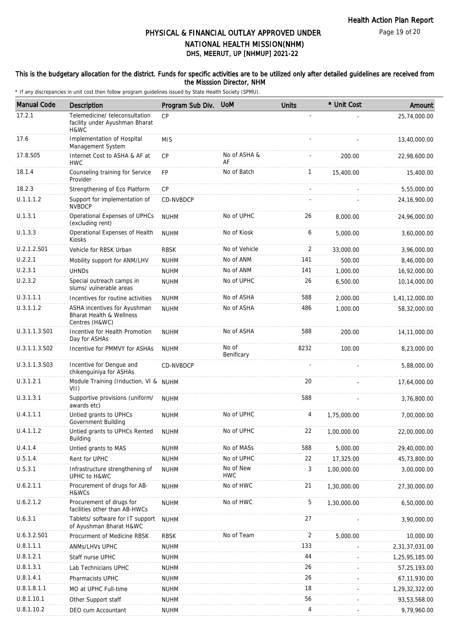Page 19 of 20

### PHYSICAL & FINANCIAL OUTLAY APPROVED UNDER NATIONAL HEALTH MISSION(NHM)

# DHS, MEERUT, UP [NHMUP] 2021-22

#### This is the budgetary allocation for the district. Funds for specific activities are to be utilized only after detailed guidelines are received from the Misssion Director, NHM

| <b>Manual Code</b> | Description                                                                | Program Sub Div. | <b>UoM</b>              | <b>Units</b>   | * Unit Cost | Amount         |
|--------------------|----------------------------------------------------------------------------|------------------|-------------------------|----------------|-------------|----------------|
| 17.2.1             | Telemedicine/ teleconsultation<br>facility under Ayushman Bharat<br>H&WC   | CP               |                         |                |             | 25,74,000.00   |
| 17.6               | Implementation of Hospital<br>Management System                            | <b>MIS</b>       |                         |                |             | 13,40,000.00   |
| 17.8.S05           | Internet Cost to ASHA & AF at<br><b>HWC</b>                                | <b>CP</b>        | No of ASHA &<br>AF      |                | 200.00      | 22,98,600.00   |
| 18.1.4             | Counseling training for Service<br>Provider                                | <b>FP</b>        | No of Batch             | $\mathbf{1}$   | 15,400.00   | 15,400.00      |
| 18.2.3             | Strengthening of Eco Platform                                              | CP               |                         | $\omega$       |             | 5,55,000.00    |
| U.1.1.1.2          | Support for implementation of<br><b>NVBDCP</b>                             | CD-NVBDCP        |                         |                |             | 24, 16, 900.00 |
| U.1.3.1            | Operational Expenses of UPHCs<br>(excluding rent)                          | <b>NUHM</b>      | No of UPHC              | 26             | 8,000.00    | 24,96,000.00   |
| U.1.3.3            | Operational Expenses of Health<br>Kiosks                                   | <b>NUHM</b>      | No of Kiosk             | 6              | 5,000.00    | 3,60,000.00    |
| U.2.1.2.S01        | Vehicle for RBSK Urban                                                     | <b>RBSK</b>      | No of Vehicle           | $\overline{2}$ | 33.000.00   | 3,96,000.00    |
| U.2.2.1            | Mobility support for ANM/LHV                                               | <b>NUHM</b>      | No of ANM               | 141            | 500.00      | 8,46,000.00    |
| U.2.3.1            | <b>UHNDs</b>                                                               | <b>NUHM</b>      | No of ANM               | 141            | 1,000.00    | 16,92,000.00   |
| U.2.3.2            | Special outreach camps in<br>slums/ vulnerable areas                       | <b>NUHM</b>      | No of UPHC              | 26             | 6,500.00    | 10,14,000.00   |
| U.3.1.1.1          | Incentives for routine activities                                          | <b>NUHM</b>      | No of ASHA              | 588            | 2,000.00    | 1,41,12,000.00 |
| U.3.1.1.2          | ASHA incentives for Ayushman<br>Bharat Health & Wellness<br>Centres (H&WC) | <b>NUHM</b>      | No of ASHA              | 486            | 1,000.00    | 58,32,000.00   |
| U.3.1.1.3.S01      | Incentive for Health Promotion<br>Day for ASHAs                            | <b>NUHM</b>      | No of ASHA              | 588            | 200.00      | 14,11,000.00   |
| U.3.1.1.3.S02      | Incentive for PMMVY for ASHAs                                              | <b>NUHM</b>      | No of<br>Benificary     | 8232           | 100.00      | 8,23,000.00    |
| U.3.1.1.3.S03      | Incentive for Dengue and<br>chikenguiniya for ASHAs                        | CD-NVBDCP        |                         |                |             | 5,88,000.00    |
| U.3.1.2.1          | Module Training (Induction, VI & NUHM<br>VII)                              |                  |                         | 20             |             | 17,64,000.00   |
| U.3.1.3.1          | Supportive provisions (uniform/<br>awards etc)                             | <b>NUHM</b>      |                         | 588            |             | 3,76,800.00    |
| U.4.1.1.1          | Untied grants to UPHCs<br>Government Building                              | <b>NUHM</b>      | No of UPHC              | 4              | 1,75,000.00 | 7,00,000.00    |
| U.4.1.1.2          | Untied grants to UPHCs Rented<br>Building                                  | <b>NUHM</b>      | No of UPHC              | 22             | 1,00,000.00 | 22,00,000.00   |
| U.4.1.4            | Untied grants to MAS                                                       | <b>NUHM</b>      | No of MASs              | 588            | 5,000.00    | 29,40,000.00   |
| U.5.1.4.           | Rent for UPHC                                                              | <b>NUHM</b>      | No of UPHC              | 22             | 17,325.00   | 45,73,800.00   |
| U.5.3.1            | Infrastructure strengthening of<br>UPHC to H&WC                            | <b>NUHM</b>      | No of New<br><b>HWC</b> | 3              | 1,00,000.00 | 3,00,000.00    |
| U.6.2.1.1          | Procurement of drugs for AB-<br>H&WCs                                      | <b>NUHM</b>      | No of HWC               | 21             | 1,30,000.00 | 27,30,000.00   |
| U.6.2.1.2          | Procurement of drugs for<br>facilities other than AB-HWCs                  | <b>NUHM</b>      | No of HWC               | 5              | 1,30,000.00 | 6,50,000.00    |
| U.6.3.1            | Tablets/ software for IT support<br>of Ayushman Bharat H&WC                | <b>NUHM</b>      |                         | 27             |             | 3,90,000.00    |
| U.6.3.2.S01        | Procurment of Medicine RBSK                                                | <b>RBSK</b>      | No of Team              | $\sqrt{2}$     | 5,000.00    | 10,000.00      |
| U.8.1.1.1          | ANMs/LHVs UPHC                                                             | <b>NUHM</b>      |                         | 133            |             | 2,31,37,031.00 |
| U.8.1.2.1          | Staff nurse UPHC                                                           | <b>NUHM</b>      |                         | 44             |             | 1,25,95,185.00 |
| U.8.1.3.1          | Lab Technicians UPHC                                                       | <b>NUHM</b>      |                         | 26             |             | 57,25,193.00   |
| U.8.1.4.1          | Pharmacists UPHC                                                           | <b>NUHM</b>      |                         | 26             |             | 67,11,930.00   |
| U.8.1.8.1.1        | MO at UPHC Full-time                                                       | <b>NUHM</b>      |                         | 18             |             | 1,29,32,322.00 |
| U.8.1.10.1         | Other Support staff                                                        | <b>NUHM</b>      |                         | 56             |             | 93,53,568.00   |
| U.8.1.10.2         | DEO cum Accountant                                                         | <b>NUHM</b>      |                         | 4              |             | 9,79,960.00    |